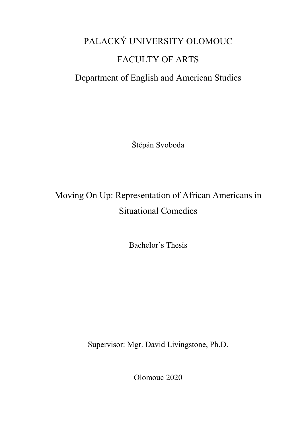# PALACKÝ UNIVERSITY OLOMOUC FACULTY OF ARTS Department of English and American Studies

Štěpán Svoboda

## Moving On Up: Representation of African Americans in Situational Comedies

Bachelor's Thesis

Supervisor: Mgr. David Livingstone, Ph.D.

Olomouc 2020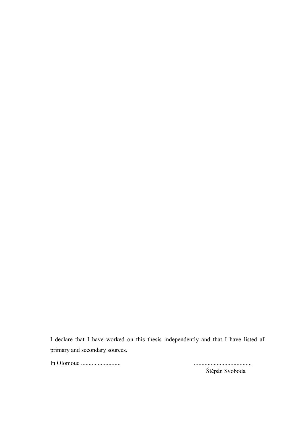I declare that I have worked on this thesis independently and that I have listed all primary and secondary sources.

In Olomouc .......................... ......................................

Štěpán Svoboda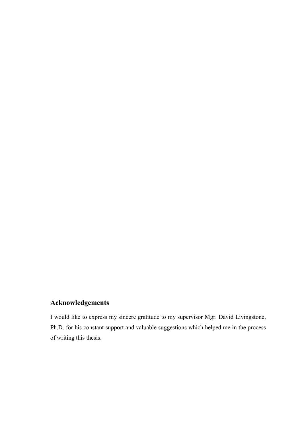### Acknowledgements

I would like to express my sincere gratitude to my supervisor Mgr. David Livingstone, Ph.D. for his constant support and valuable suggestions which helped me in the process of writing this thesis.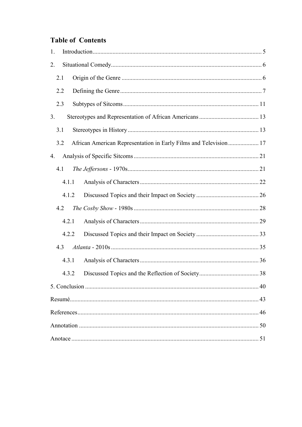## **Table of Contents**

| 1.                                                                      |    |
|-------------------------------------------------------------------------|----|
| 2.                                                                      |    |
| 2.1                                                                     |    |
| 2.2                                                                     |    |
| 2.3                                                                     |    |
| 3.                                                                      |    |
| 3.1                                                                     |    |
| African American Representation in Early Films and Television 17<br>3.2 |    |
| 4.                                                                      |    |
| 4.1                                                                     |    |
| 4.1.1                                                                   |    |
| 4.1.2                                                                   |    |
| 4.2                                                                     |    |
| 4.2.1                                                                   |    |
| 4.2.2                                                                   |    |
| 4.3                                                                     |    |
| 4.3.1                                                                   |    |
| 4.3.2                                                                   |    |
|                                                                         | 40 |
|                                                                         | 43 |
|                                                                         | 46 |
|                                                                         | 50 |
|                                                                         | 51 |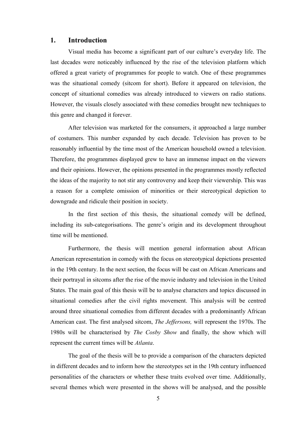#### <span id="page-4-0"></span>1. Introduction

Visual media has become a significant part of our culture's everyday life. The last decades were noticeably influenced by the rise of the television platform which offered a great variety of programmes for people to watch. One of these programmes was the situational comedy (sitcom for short). Before it appeared on television, the concept of situational comedies was already introduced to viewers on radio stations. However, the visuals closely associated with these comedies brought new techniques to this genre and changed it forever.

After television was marketed for the consumers, it approached a large number of costumers. This number expanded by each decade. Television has proven to be reasonably influential by the time most of the American household owned a television. Therefore, the programmes displayed grew to have an immense impact on the viewers and their opinions. However, the opinions presented in the programmes mostly reflected the ideas of the majority to not stir any controversy and keep their viewership. This was a reason for a complete omission of minorities or their stereotypical depiction to downgrade and ridicule their position in society.

In the first section of this thesis, the situational comedy will be defined, including its sub-categorisations. The genre's origin and its development throughout time will be mentioned.

Furthermore, the thesis will mention general information about African American representation in comedy with the focus on stereotypical depictions presented in the 19th century. In the next section, the focus will be cast on African Americans and their portrayal in sitcoms after the rise of the movie industry and television in the United States. The main goal of this thesis will be to analyse characters and topics discussed in situational comedies after the civil rights movement. This analysis will be centred around three situational comedies from different decades with a predominantly African American cast. The first analysed sitcom, *The Jeffersons,* will represent the 1970s. The 1980s will be characterised by *The Cosby Show* and finally, the show which will represent the current times will be *Atlanta*.

The goal of the thesis will be to provide a comparison of the characters depicted in different decades and to inform how the stereotypes set in the 19th century influenced personalities of the characters or whether these traits evolved over time. Additionally, several themes which were presented in the shows will be analysed, and the possible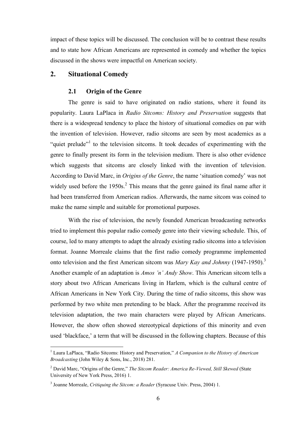<span id="page-5-0"></span>impact of these topics will be discussed. The conclusion will be to contrast these results and to state how African Americans are represented in comedy and whether the topics discussed in the shows were impactful on American society.

#### 2. Situational Comedy

#### 2.1 Origin of the Genre

The genre is said to have originated on radio stations, where it found its popularity. Laura LaPlaca in *Radio Sitcoms: History and Preservation* suggests that there is a widespread tendency to place the history of situational comedies on par with the invention of television. However, radio sitcoms are seen by most academics as a "quiet prelude"<sup>1</sup> to the television sitcoms. It took decades of experimenting with the genre to finally present its form in the television medium. There is also other evidence which suggests that sitcoms are closely linked with the invention of television. According to David Marc, in *Origins of the Genre*, the name 'situation comedy' was not widely used before the  $1950s<sup>2</sup>$ . This means that the genre gained its final name after it had been transferred from American radios. Afterwards, the name sitcom was coined to make the name simple and suitable for promotional purposes.

With the rise of television, the newly founded American broadcasting networks tried to implement this popular radio comedy genre into their viewing schedule. This, of course, led to many attempts to adapt the already existing radio sitcoms into a television format. Joanne Morreale claims that the first radio comedy programme implemented onto television and the first American sitcom was *Mary Kay and Johnny* (1947-1950).3 Another example of an adaptation is *Amos 'n' Andy Show*. This American sitcom tells a story about two African Americans living in Harlem, which is the cultural centre of African Americans in New York City. During the time of radio sitcoms, this show was performed by two white men pretending to be black. After the programme received its television adaptation, the two main characters were played by African Americans. However, the show often showed stereotypical depictions of this minority and even used 'blackface,' a term that will be discussed in the following chapters. Because of this

 <sup>1</sup> Laura LaPlaca, "Radio Sitcoms: History and Preservation," *A Companion to the History of American Broadcasting* (John Wiley & Sons, Inc., 2018) 281.

<sup>2</sup> David Marc, "Origins of the Genre," *The Sitcom Reader: America Re-Viewed, Still Skewed* (State University of New York Press, 2016) 1.

<sup>3</sup> Joanne Morreale, *Critiquing the Sitcom: a Reader* (Syracuse Univ. Press, 2004) 1.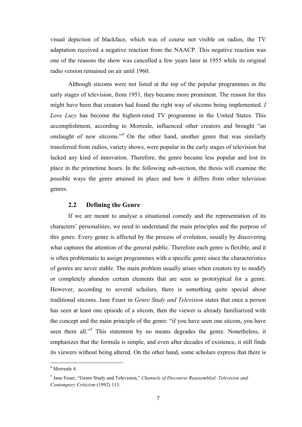<span id="page-6-0"></span>visual depiction of blackface, which was of course not visible on radios, the TV adaptation received a negative reaction from the NAACP. This negative reaction was one of the reasons the show was cancelled a few years later in 1955 while its original radio version remained on air until 1960.

Although sitcoms were not listed at the top of the popular programmes in the early stages of television, from 1951, they became more prominent. The reason for this might have been that creators had found the right way of sitcoms being implemented. *I Love Lucy* has become the highest-rated TV programme in the United States. This accomplishment, according to Morreale, influenced other creators and brought "an onslaught of new sitcoms."4 On the other hand, another genre that was similarly transferred from radios, variety shows, were popular in the early stages of television but lacked any kind of innovation. Therefore, the genre became less popular and lost its place in the primetime hours. In the following sub-section, the thesis will examine the possible ways the genre attained its place and how it differs from other television genres.

#### 2.2 Defining the Genre

If we are meant to analyse a situational comedy and the representation of its characters' personalities, we need to understand the main principles and the purpose of this genre. Every genre is affected by the process of evolution, usually by discovering what captures the attention of the general public. Therefore each genre is flexible, and it is often problematic to assign programmes with a specific genre since the characteristics of genres are never stable. The main problem usually arises when creators try to modify or completely abandon certain elements that are seen as prototypical for a genre. However, according to several scholars, there is something quite special about traditional sitcoms. Jane Feuer in *Genre Study and Television* states that once a person has seen at least one episode of a sitcom, then the viewer is already familiarized with the concept and the main principle of the genre: "if you have seen one sitcom, you have seen them all."<sup>5</sup> This statement by no means degrades the genre. Nonetheless, it emphasizes that the formula is simple, and even after decades of existence, it still finds its viewers without being altered. On the other hand, some scholars express that there is

 <sup>4</sup> Morreale 4.

<sup>5</sup> Jane Feuer, "Genre Study and Television," *Channels of Discourse Reassembled: Television and Contempory Criticism* (1992) 113.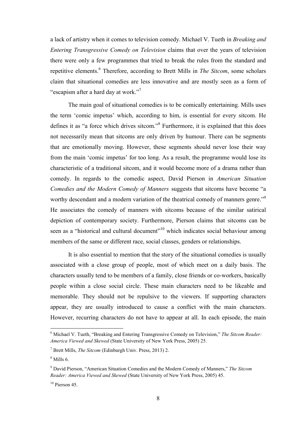a lack of artistry when it comes to television comedy. Michael V. Tueth in *Breaking and Entering Transgressive Comedy on Television* claims that over the years of television there were only a few programmes that tried to break the rules from the standard and repetitive elements. <sup>6</sup> Therefore, according to Brett Mills in *The Sitcom*, some scholars claim that situational comedies are less innovative and are mostly seen as a form of "escapism after a hard day at work."<sup>7</sup>

The main goal of situational comedies is to be comically entertaining. Mills uses the term 'comic impetus' which, according to him, is essential for every sitcom. He defines it as "a force which drives sitcom."<sup>8</sup> Furthermore, it is explained that this does not necessarily mean that sitcoms are only driven by humour. There can be segments that are emotionally moving. However, these segments should never lose their way from the main 'comic impetus' for too long. As a result, the programme would lose its characteristic of a traditional sitcom, and it would become more of a drama rather than comedy. In regards to the comedic aspect, David Pierson in *American Situation Comedies and the Modern Comedy of Manners* suggests that sitcoms have become "a worthy descendant and a modern variation of the theatrical comedy of manners genre."<sup>9</sup> He associates the comedy of manners with sitcoms because of the similar satirical depiction of contemporary society. Furthermore, Pierson claims that sitcoms can be seen as a "historical and cultural document"<sup>10</sup> which indicates social behaviour among members of the same or different race, social classes, genders or relationships.

It is also essential to mention that the story of the situational comedies is usually associated with a close group of people, most of which meet on a daily basis. The characters usually tend to be members of a family, close friends or co-workers, basically people within a close social circle. These main characters need to be likeable and memorable. They should not be repulsive to the viewers. If supporting characters appear, they are usually introduced to cause a conflict with the main characters. However, recurring characters do not have to appear at all. In each episode, the main

 <sup>6</sup> Michael V. Tueth, "Breaking and Entering Transgressive Comedy on Television," *The Sitcom Reader: America Viewed and Skewed* (State University of New York Press, 2005) 25.

<sup>7</sup> Brett Mills, *The Sitcom* (Edinburgh Univ. Press, 2013) 2.

 $8$  Mills 6.

<sup>9</sup> David Pierson, "American Situation Comedies and the Modern Comedy of Manners," *The Sitcom Reader: America Viewed and Skewed* (State University of New York Press, 2005) 45.

 $10$  Pierson 45.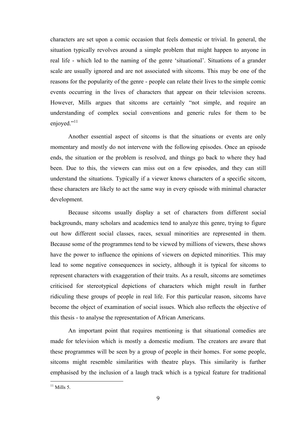characters are set upon a comic occasion that feels domestic or trivial. In general, the situation typically revolves around a simple problem that might happen to anyone in real life - which led to the naming of the genre 'situational'. Situations of a grander scale are usually ignored and are not associated with sitcoms. This may be one of the reasons for the popularity of the genre - people can relate their lives to the simple comic events occurring in the lives of characters that appear on their television screens. However, Mills argues that sitcoms are certainly "not simple, and require an understanding of complex social conventions and generic rules for them to be enjoyed."<sup>11</sup>

Another essential aspect of sitcoms is that the situations or events are only momentary and mostly do not intervene with the following episodes. Once an episode ends, the situation or the problem is resolved, and things go back to where they had been. Due to this, the viewers can miss out on a few episodes, and they can still understand the situations. Typically if a viewer knows characters of a specific sitcom, these characters are likely to act the same way in every episode with minimal character development.

Because sitcoms usually display a set of characters from different social backgrounds, many scholars and academics tend to analyze this genre, trying to figure out how different social classes, races, sexual minorities are represented in them. Because some of the programmes tend to be viewed by millions of viewers, these shows have the power to influence the opinions of viewers on depicted minorities. This may lead to some negative consequences in society, although it is typical for sitcoms to represent characters with exaggeration of their traits. As a result, sitcoms are sometimes criticised for stereotypical depictions of characters which might result in further ridiculing these groups of people in real life. For this particular reason, sitcoms have become the object of examination of social issues. Which also reflects the objective of this thesis - to analyse the representation of African Americans.

An important point that requires mentioning is that situational comedies are made for television which is mostly a domestic medium. The creators are aware that these programmes will be seen by a group of people in their homes. For some people, sitcoms might resemble similarities with theatre plays. This similarity is further emphasised by the inclusion of a laugh track which is a typical feature for traditional

 $11$  Mills 5.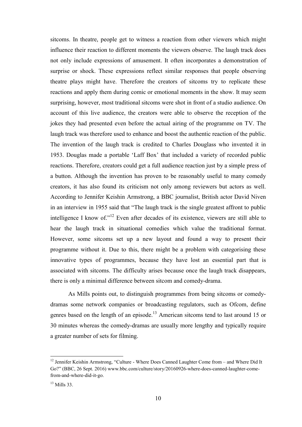sitcoms. In theatre, people get to witness a reaction from other viewers which might influence their reaction to different moments the viewers observe. The laugh track does not only include expressions of amusement. It often incorporates a demonstration of surprise or shock. These expressions reflect similar responses that people observing theatre plays might have. Therefore the creators of sitcoms try to replicate these reactions and apply them during comic or emotional moments in the show. It may seem surprising, however, most traditional sitcoms were shot in front of a studio audience. On account of this live audience, the creators were able to observe the reception of the jokes they had presented even before the actual airing of the programme on TV. The laugh track was therefore used to enhance and boost the authentic reaction of the public. The invention of the laugh track is credited to Charles Douglass who invented it in 1953. Douglas made a portable 'Laff Box' that included a variety of recorded public reactions. Therefore, creators could get a full audience reaction just by a simple press of a button. Although the invention has proven to be reasonably useful to many comedy creators, it has also found its criticism not only among reviewers but actors as well. According to Jennifer Keishin Armstrong, a BBC journalist, British actor David Niven in an interview in 1955 said that "The laugh track is the single greatest affront to public intelligence I know of."<sup>12</sup> Even after decades of its existence, viewers are still able to hear the laugh track in situational comedies which value the traditional format. However, some sitcoms set up a new layout and found a way to present their programme without it. Due to this, there might be a problem with categorising these innovative types of programmes, because they have lost an essential part that is associated with sitcoms. The difficulty arises because once the laugh track disappears, there is only a minimal difference between sitcom and comedy-drama.

As Mills points out, to distinguish programmes from being sitcoms or comedydramas some network companies or broadcasting regulators, such as Ofcom, define genres based on the length of an episode.<sup>13</sup> American sitcoms tend to last around 15 or 30 minutes whereas the comedy-dramas are usually more lengthy and typically require a greater number of sets for filming.

<sup>&</sup>lt;sup>12</sup> Jennifer Keishin Armstrong, "Culture - Where Does Canned Laughter Come from – and Where Did It Go?" (BBC, 26 Sept. 2016) www.bbc.com/culture/story/20160926-where-does-canned-laughter-comefrom-and-where-did-it-go.

<sup>13</sup> Mills 33.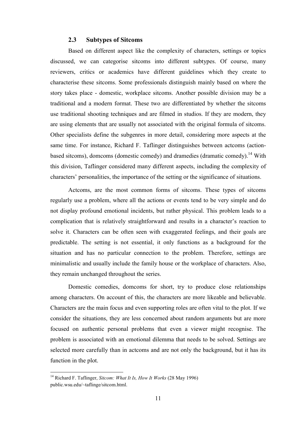#### 2.3 Subtypes of Sitcoms

<span id="page-10-0"></span>Based on different aspect like the complexity of characters, settings or topics discussed, we can categorise sitcoms into different subtypes. Of course, many reviewers, critics or academics have different guidelines which they create to characterise these sitcoms. Some professionals distinguish mainly based on where the story takes place - domestic, workplace sitcoms. Another possible division may be a traditional and a modern format. These two are differentiated by whether the sitcoms use traditional shooting techniques and are filmed in studios. If they are modern, they are using elements that are usually not associated with the original formula of sitcoms. Other specialists define the subgenres in more detail, considering more aspects at the same time. For instance, Richard F. Taflinger distinguishes between actcoms (actionbased sitcoms), domcoms (domestic comedy) and dramedies (dramatic comedy).<sup>14</sup> With this division, Taflinger considered many different aspects, including the complexity of characters' personalities, the importance of the setting or the significance of situations.

Actcoms, are the most common forms of sitcoms. These types of sitcoms regularly use a problem, where all the actions or events tend to be very simple and do not display profound emotional incidents, but rather physical. This problem leads to a complication that is relatively straightforward and results in a character's reaction to solve it. Characters can be often seen with exaggerated feelings, and their goals are predictable. The setting is not essential, it only functions as a background for the situation and has no particular connection to the problem. Therefore, settings are minimalistic and usually include the family house or the workplace of characters. Also, they remain unchanged throughout the series.

Domestic comedies, domcoms for short, try to produce close relationships among characters. On account of this, the characters are more likeable and believable. Characters are the main focus and even supporting roles are often vital to the plot. If we consider the situations, they are less concerned about random arguments but are more focused on authentic personal problems that even a viewer might recognise. The problem is associated with an emotional dilemma that needs to be solved. Settings are selected more carefully than in actcoms and are not only the background, but it has its function in the plot.

 <sup>14</sup> Richard F. Taflinger, *Sitcom: What It Is, How It Works* (28 May 1996) public.wsu.edu/~taflinge/sitcom.html.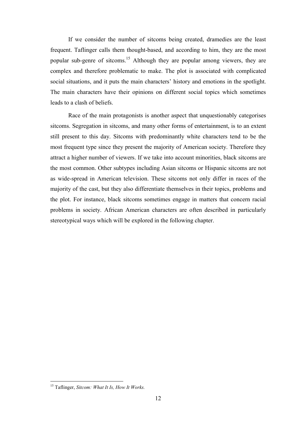If we consider the number of sitcoms being created, dramedies are the least frequent. Taflinger calls them thought-based, and according to him, they are the most popular sub-genre of sitcoms.<sup>15</sup> Although they are popular among viewers, they are complex and therefore problematic to make. The plot is associated with complicated social situations, and it puts the main characters' history and emotions in the spotlight. The main characters have their opinions on different social topics which sometimes leads to a clash of beliefs.

Race of the main protagonists is another aspect that unquestionably categorises sitcoms. Segregation in sitcoms, and many other forms of entertainment, is to an extent still present to this day. Sitcoms with predominantly white characters tend to be the most frequent type since they present the majority of American society. Therefore they attract a higher number of viewers. If we take into account minorities, black sitcoms are the most common. Other subtypes including Asian sitcoms or Hispanic sitcoms are not as wide-spread in American television. These sitcoms not only differ in races of the majority of the cast, but they also differentiate themselves in their topics, problems and the plot. For instance, black sitcoms sometimes engage in matters that concern racial problems in society. African American characters are often described in particularly stereotypical ways which will be explored in the following chapter.

 <sup>15</sup> Taflinger, *Sitcom: What It Is, How It Works.*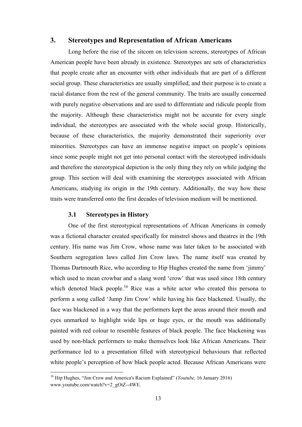#### <span id="page-12-0"></span>3. Stereotypes and Representation of African Americans

Long before the rise of the sitcom on television screens, stereotypes of African American people have been already in existence. Stereotypes are sets of characteristics that people create after an encounter with other individuals that are part of a different social group. These characteristics are usually simplified, and their purpose is to create a racial distance from the rest of the general community. The traits are usually concerned with purely negative observations and are used to differentiate and ridicule people from the majority. Although these characteristics might not be accurate for every single individual, the stereotypes are associated with the whole social group. Historically, because of these characteristics, the majority demonstrated their superiority over minorities. Stereotypes can have an immense negative impact on people's opinions since some people might not get into personal contact with the stereotyped individuals and therefore the stereotypical depiction is the only thing they rely on while judging the group. This section will deal with examining the stereotypes associated with African Americans, studying its origin in the 19th century. Additionally, the way how these traits were transferred onto the first decades of television medium will be mentioned.

#### 3.1 Stereotypes in History

One of the first stereotypical representations of African Americans in comedy was a fictional character created specifically for minstrel shows and theatres in the 19th century. His name was Jim Crow, whose name was later taken to be associated with Southern segregation laws called Jim Crow laws. The name itself was created by Thomas Dartmouth Rice, who according to Hip Hughes created the name from 'jimmy' which used to mean crowbar and a slang word 'crow' that was used since 18th century which denoted black people.<sup>16</sup> Rice was a white actor who created this persona to perform a song called 'Jump Jim Crow' while having his face blackened. Usually, the face was blackened in a way that the performers kept the areas around their mouth and eyes unmarked to highlight wide lips or huge eyes, or the mouth was additionally painted with red colour to resemble features of black people. The face blackening was used by non-black performers to make themselves look like African Americans. Their performance led to a presentation filled with stereotypical behaviours that reflected white people's perception of how black people acted. Because African Americans were

 <sup>16</sup> Hip Hughes, "Jim Crow and America's Racism Explained" (*Youtube,* 16 January 2016) www.youtube.com/watch?v=2\_gOtZ--4WE.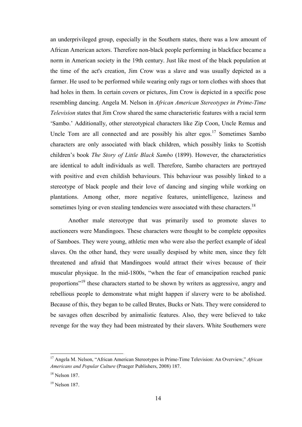an underprivileged group, especially in the Southern states, there was a low amount of African American actors. Therefore non-black people performing in blackface became a norm in American society in the 19th century. Just like most of the black population at the time of the act's creation, Jim Crow was a slave and was usually depicted as a farmer. He used to be performed while wearing only rags or torn clothes with shoes that had holes in them. In certain covers or pictures, Jim Crow is depicted in a specific pose resembling dancing. Angela M. Nelson in *African American Stereotypes in Prime-Time Television* states that Jim Crow shared the same characteristic features with a racial term 'Sambo.' Additionally, other stereotypical characters like Zip Coon, Uncle Remus and Uncle Tom are all connected and are possibly his alter egos.<sup>17</sup> Sometimes Sambo characters are only associated with black children, which possibly links to Scottish children's book *The Story of Little Black Sambo* (1899). However, the characteristics are identical to adult individuals as well. Therefore, Sambo characters are portrayed with positive and even childish behaviours. This behaviour was possibly linked to a stereotype of black people and their love of dancing and singing while working on plantations. Among other, more negative features, unintelligence, laziness and sometimes lying or even stealing tendencies were associated with these characters.<sup>18</sup>

Another male stereotype that was primarily used to promote slaves to auctioneers were Mandingoes. These characters were thought to be complete opposites of Samboes. They were young, athletic men who were also the perfect example of ideal slaves. On the other hand, they were usually despised by white men, since they felt threatened and afraid that Mandingoes would attract their wives because of their muscular physique. In the mid-1800s, "when the fear of emancipation reached panic proportions<sup>"19</sup> these characters started to be shown by writers as aggressive, angry and rebellious people to demonstrate what might happen if slavery were to be abolished. Because of this, they began to be called Brutes, Bucks or Nats. They were considered to be savages often described by animalistic features. Also, they were believed to take revenge for the way they had been mistreated by their slavers. White Southerners were

 <sup>17</sup> Angela M. Nelson, "African American Stereotypes in Prime-Time Television: An Overview," *African Americans and Popular Culture* (Praeger Publishers, 2008) 187.

 $18$  Nelson 187.

<sup>19</sup> Nelson 187.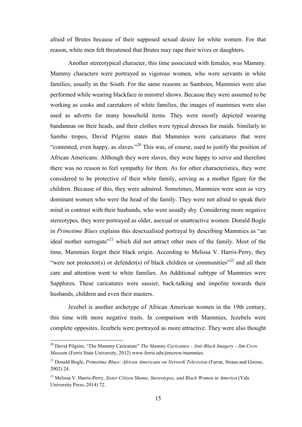afraid of Brutes because of their supposed sexual desire for white women. For that reason, white men felt threatened that Brutes may rape their wives or daughters.

Another stereotypical character, this time associated with females, was Mammy. Mammy characters were portrayed as vigorous women, who were servants in white families, usually in the South. For the same reasons as Samboes, Mammies were also performed while wearing blackface in minstrel shows. Because they were assumed to be working as cooks and caretakers of white families, the images of mammies were also used as adverts for many household items. They were mostly depicted wearing bandannas on their heads, and their clothes were typical dresses for maids. Similarly to Sambo tropes, David Pilgrim states that Mammies were caricatures that were "contented, even happy, as slaves."<sup>20</sup> This was, of course, used to justify the position of African Americans. Although they were slaves, they were happy to serve and therefore there was no reason to feel sympathy for them. As for other characteristics, they were considered to be protective of their white family, serving as a mother figure for the children. Because of this, they were admired. Sometimes, Mammies were seen as very dominant women who were the head of the family. They were not afraid to speak their mind in contrast with their husbands, who were usually shy. Considering more negative stereotypes, they were portrayed as older, asexual or unattractive women. Donald Bogle in *Primetime Blues* explains this desexualised portrayal by describing Mammies as "an ideal mother surrogate<sup> $21$ </sup> which did not attract other men of the family. Most of the time, Mammies forgot their black origin. According to Melissa V. Harris-Perry, they "were not protector(s) or defender(s) of black children or communities"<sup>22</sup> and all their care and attention went to white families. An Additional subtype of Mammies were Sapphires. These caricatures were sassier, back-talking and impolite towards their husbands, children and even their masters.

Jezebel is another archetype of African American women in the 19th century, this time with more negative traits. In comparison with Mammies, Jezebels were complete opposites. Jezebels were portrayed as more attractive. They were also thought

 <sup>20</sup> David Pilgrim, "The Mammy Caricature" *The Mammy Caricature - Anti-Black Imagery - Jim Crow Museum* (Ferris State University, 2012) www.ferris.edu/jimcrow/mammies.

<sup>21</sup> Donald Bogle, *Primetime Blues: African Americans on Network Television* (Farrar, Straus and Giroux, 2002) 24.

<sup>22</sup> Melissa V. Harris-Perry, *Sister Citizen Shame, Stereotypes, and Black Women in America* (Yale University Press, 2014) 72.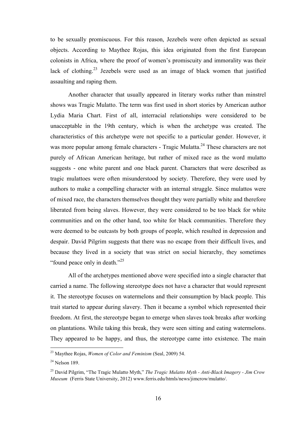to be sexually promiscuous. For this reason, Jezebels were often depicted as sexual objects. According to Maythee Rojas, this idea originated from the first European colonists in Africa, where the proof of women's promiscuity and immorality was their lack of clothing.<sup>23</sup> Jezebels were used as an image of black women that justified assaulting and raping them.

Another character that usually appeared in literary works rather than minstrel shows was Tragic Mulatto. The term was first used in short stories by American author Lydia Maria Chart. First of all, interracial relationships were considered to be unacceptable in the 19th century, which is when the archetype was created. The characteristics of this archetype were not specific to a particular gender. However, it was more popular among female characters - Tragic Mulatta.<sup>24</sup> These characters are not purely of African American heritage, but rather of mixed race as the word mulatto suggests - one white parent and one black parent. Characters that were described as tragic mulattoes were often misunderstood by society. Therefore, they were used by authors to make a compelling character with an internal struggle. Since mulattos were of mixed race, the characters themselves thought they were partially white and therefore liberated from being slaves. However, they were considered to be too black for white communities and on the other hand, too white for black communities. Therefore they were deemed to be outcasts by both groups of people, which resulted in depression and despair. David Pilgrim suggests that there was no escape from their difficult lives, and because they lived in a society that was strict on social hierarchy, they sometimes "found peace only in death."<sup>25</sup>

All of the archetypes mentioned above were specified into a single character that carried a name. The following stereotype does not have a character that would represent it. The stereotype focuses on watermelons and their consumption by black people. This trait started to appear during slavery. Then it became a symbol which represented their freedom. At first, the stereotype began to emerge when slaves took breaks after working on plantations. While taking this break, they were seen sitting and eating watermelons. They appeared to be happy, and thus, the stereotype came into existence. The main

 <sup>23</sup> Maythee Rojas, *Women of Color and Feminism* (Seal, 2009) 54.

 $24$  Nelson 189.

<sup>25</sup> David Pilgrim, "The Tragic Mulatto Myth," *The Tragic Mulatto Myth - Anti-Black Imagery - Jim Crow Museum* (Ferris State University, 2012) www.ferris.edu/htmls/news/jimcrow/mulatto/.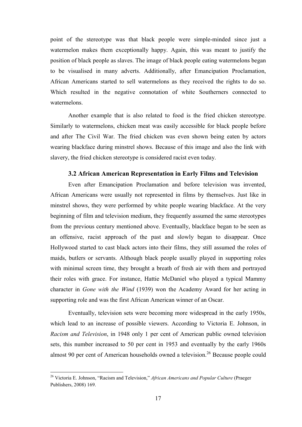<span id="page-16-0"></span>point of the stereotype was that black people were simple-minded since just a watermelon makes them exceptionally happy. Again, this was meant to justify the position of black people as slaves. The image of black people eating watermelons began to be visualised in many adverts. Additionally, after Emancipation Proclamation, African Americans started to sell watermelons as they received the rights to do so. Which resulted in the negative connotation of white Southerners connected to watermelons.

Another example that is also related to food is the fried chicken stereotype. Similarly to watermelons, chicken meat was easily accessible for black people before and after The Civil War. The fried chicken was even shown being eaten by actors wearing blackface during minstrel shows. Because of this image and also the link with slavery, the fried chicken stereotype is considered racist even today.

#### 3.2 African American Representation in Early Films and Television

Even after Emancipation Proclamation and before television was invented, African Americans were usually not represented in films by themselves. Just like in minstrel shows, they were performed by white people wearing blackface. At the very beginning of film and television medium, they frequently assumed the same stereotypes from the previous century mentioned above. Eventually, blackface began to be seen as an offensive, racist approach of the past and slowly began to disappear. Once Hollywood started to cast black actors into their films, they still assumed the roles of maids, butlers or servants. Although black people usually played in supporting roles with minimal screen time, they brought a breath of fresh air with them and portrayed their roles with grace. For instance, Hattie McDaniel who played a typical Mammy character in *Gone with the Wind* (1939) won the Academy Award for her acting in supporting role and was the first African American winner of an Oscar.

Eventually, television sets were becoming more widespread in the early 1950s, which lead to an increase of possible viewers. According to Victoria E. Johnson, in *Racism and Television*, in 1948 only 1 per cent of American public owned television sets, this number increased to 50 per cent in 1953 and eventually by the early 1960s almost 90 per cent of American households owned a television.<sup>26</sup> Because people could

 <sup>26</sup> Victoria E. Johnson, "Racism and Television," *African Americans and Popular Culture* (Praeger Publishers, 2008) 169.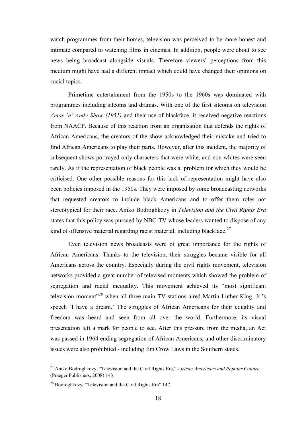watch programmes from their homes, television was perceived to be more honest and intimate compared to watching films in cinemas. In addition, people were about to see news being broadcast alongside visuals. Therefore viewers' perceptions from this medium might have had a different impact which could have changed their opinions on social topics.

Primetime entertainment from the 1950s to the 1960s was dominated with programmes including sitcoms and dramas. With one of the first sitcoms on television *Amos 'n' Andy Show (1951)* and their use of blackface, it received negative reactions from NAACP. Because of this reaction from an organisation that defends the rights of African Americans, the creators of the show acknowledged their mistake and tried to find African Americans to play their parts. However, after this incident, the majority of subsequent shows portrayed only characters that were white, and non-whites were seen rarely. As if the representation of black people was a problem for which they would be criticised. One other possible reasons for this lack of representation might have also been policies imposed in the 1950s. They were imposed by some broadcasting networks that requested creators to include black Americans and to offer them roles not stereotypical for their race. Aniko Bodroghkozy in *Television and the Civil Rights Era* states that this policy was pursued by NBC-TV whose leaders wanted to dispose of any kind of offensive material regarding racist material, including blackface.<sup>27</sup>

Even television news broadcasts were of great importance for the rights of African Americans. Thanks to the television, their struggles became visible for all Americans across the country. Especially during the civil rights movement, television networks provided a great number of televised moments which showed the problem of segregation and racial inequality. This movement achieved its "most significant television moment"<sup>28</sup> when all three main TV stations aired Martin Luther King, Jr.'s speech 'I have a dream.' The struggles of African Americans for their equality and freedom was heard and seen from all over the world. Furthermore, its visual presentation left a mark for people to see. After this pressure from the media, an Act was passed in 1964 ending segregation of African Americans, and other discriminatory issues were also prohibited - including Jim Crow Laws in the Southern states.

 <sup>27</sup> Aniko Bodroghkozy, "Television and the Civil Rights Era," *African Americans and Popular Culture* (Praeger Publishers, 2008) 143.

<sup>&</sup>lt;sup>28</sup> Bodroghkozy, "Television and the Civil Rights Era" 147.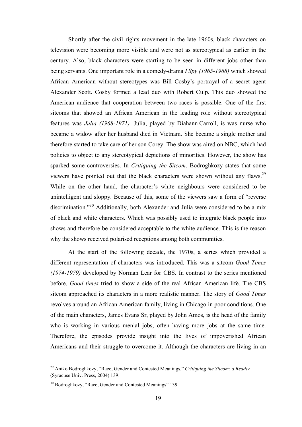Shortly after the civil rights movement in the late 1960s, black characters on television were becoming more visible and were not as stereotypical as earlier in the century. Also, black characters were starting to be seen in different jobs other than being servants. One important role in a comedy-drama *I Spy (1965-1968)* which showed African American without stereotypes was Bill Cosby's portrayal of a secret agent Alexander Scott. Cosby formed a lead duo with Robert Culp. This duo showed the American audience that cooperation between two races is possible. One of the first sitcoms that showed an African American in the leading role without stereotypical features was *Julia (1968-1971).* Julia, played by Diahann Carroll, is was nurse who became a widow after her husband died in Vietnam. She became a single mother and therefore started to take care of her son Corey. The show was aired on NBC, which had policies to object to any stereotypical depictions of minorities. However, the show has sparked some controversies. In *Critiquing the Sitcom,* Bodroghkozy states that some viewers have pointed out that the black characters were shown without any flaws.<sup>29</sup> While on the other hand, the character's white neighbours were considered to be unintelligent and sloppy. Because of this, some of the viewers saw a form of "reverse discrimination."<sup>30</sup> Additionally, both Alexander and Julia were considered to be a mix of black and white characters. Which was possibly used to integrate black people into shows and therefore be considered acceptable to the white audience. This is the reason why the shows received polarised receptions among both communities.

At the start of the following decade, the 1970s, a series which provided a different representation of characters was introduced. This was a sitcom *Good Times (1974-1979)* developed by Norman Lear for CBS. In contrast to the series mentioned before, *Good times* tried to show a side of the real African American life. The CBS sitcom approached its characters in a more realistic manner. The story of *Good Times* revolves around an African American family, living in Chicago in poor conditions. One of the main characters, James Evans Sr, played by John Amos, is the head of the family who is working in various menial jobs, often having more jobs at the same time. Therefore, the episodes provide insight into the lives of impoverished African Americans and their struggle to overcome it. Although the characters are living in an

 <sup>29</sup> Aniko Bodroghkozy, "Race, Gender and Contested Meanings," *Critiquing the Sitcom: a Reader* (Syracuse Univ. Press, 2004) 139.

<sup>&</sup>lt;sup>30</sup> Bodroghkozy, "Race, Gender and Contested Meanings" 139.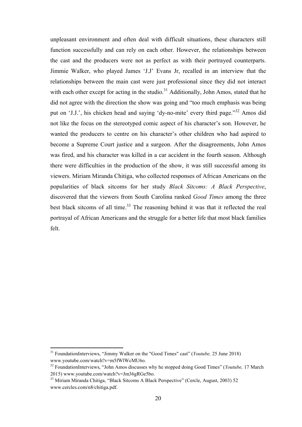unpleasant environment and often deal with difficult situations, these characters still function successfully and can rely on each other. However, the relationships between the cast and the producers were not as perfect as with their portrayed counterparts. Jimmie Walker, who played James 'J.J' Evans Jr, recalled in an interview that the relationships between the main cast were just professional since they did not interact with each other except for acting in the studio.<sup>31</sup> Additionally, John Amos, stated that he did not agree with the direction the show was going and "too much emphasis was being put on 'J.J.', his chicken head and saying 'dy-no-mite' every third page."<sup>32</sup> Amos did not like the focus on the stereotyped comic aspect of his character's son. However, he wanted the producers to centre on his character's other children who had aspired to become a Supreme Court justice and a surgeon. After the disagreements, John Amos was fired, and his character was killed in a car accident in the fourth season. Although there were difficulties in the production of the show, it was still successful among its viewers. Miriam Miranda Chitiga, who collected responses of African Americans on the popularities of black sitcoms for her study *Black Sitcoms: A Black Perspective*, discovered that the viewers from South Carolina ranked *Good Times* among the three best black sitcoms of all time.<sup>33</sup> The reasoning behind it was that it reflected the real portrayal of African Americans and the struggle for a better life that most black families felt.

 <sup>31</sup> FoundationInterviews, "Jimmy Walker on the "Good Times" cast" (*Youtube,* 25 June 2018) www.youtube.com/watch?v=m5fWlWcMU6o.

<sup>32</sup> FoundationInterviews, "John Amos discusses why he stopped doing Good Times" (*Youtube,* 17 March 2015) www.youtube.com/watch?v=Jm36gRGe5bo.

<sup>&</sup>lt;sup>33</sup> Miriam Miranda Chitiga, "Black Sitcoms A Black Perspective" (Cercle, August, 2003) 52 www.cercles.com/n8/chitiga.pdf.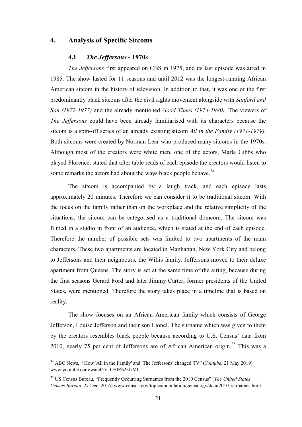#### <span id="page-20-0"></span>4. Analysis of Specific Sitcoms

#### 4.1 *The Jeffersons* - 1970s

*The Jeffersons* first appeared on CBS in 1975, and its last episode was aired in 1985. The show lasted for 11 seasons and until 2012 was the longest-running African American sitcom in the history of television. In addition to that, it was one of the first predominantly black sitcoms after the civil rights movement alongside with *Sanford and Son (1972-1977)* and the already mentioned *Good Times (1974-1980).* The viewers of *The Jeffersons* could have been already familiarised with its characters because the sitcom is a spin-off series of an already existing sitcom *All in the Family (1971-1979).*  Both sitcoms were created by Norman Lear who produced many sitcoms in the 1970s. Although most of the creators were white men, one of the actors, Marla Gibbs who played Florence, stated that after table reads of each episode the creators would listen to some remarks the actors had about the ways black people behave.<sup>34</sup>

The sitcom is accompanied by a laugh track, and each episode lasts approximately 20 minutes. Therefore we can consider it to be traditional sitcom. With the focus on the family rather than on the workplace and the relative simplicity of the situations, the sitcom can be categorised as a traditional domcom. The sitcom was filmed in a studio in front of an audience, which is stated at the end of each episode. Therefore the number of possible sets was limited to two apartments of the main characters. These two apartments are located in Manhattan, New York City and belong to Jeffersons and their neighbours, the Willis family. Jeffersons moved to their deluxe apartment from Queens. The story is set at the same time of the airing, because during the first seasons Gerard Ford and later Jimmy Carter, former presidents of the United States, were mentioned. Therefore the story takes place in a timeline that is based on reality.

The show focuses on an African American family which consists of George Jefferson, Louise Jefferson and their son Lionel. The surname which was given to them by the creators resembles black people because according to U.S. Census' data from 2010, nearly 75 per cent of Jeffersons are of African American origin.<sup>35</sup> This was a

 <sup>34</sup> ABC News, " How 'All in the Family' and 'The Jeffersons' changed TV" (*Youtube,* <sup>21</sup> May 2019) www.youtube.com/watch?v=OSIZ623frMI.

<sup>35</sup> US Census Bureau, "Frequently Occurring Surnames from the 2010 Census" (*The United States Census Bureau*, 27 Dec. 2016) www.census.gov/topics/population/genealogy/data/2010\_surnames.html.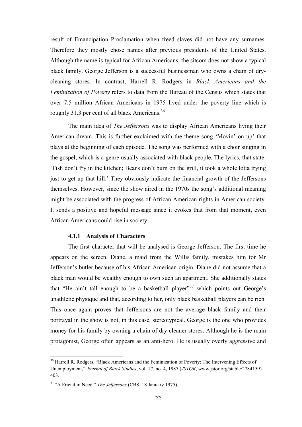<span id="page-21-0"></span>result of Emancipation Proclamation when freed slaves did not have any surnames. Therefore they mostly chose names after previous presidents of the United States. Although the name is typical for African Americans, the sitcom does not show a typical black family. George Jefferson is a successful businessman who owns a chain of drycleaning stores. In contrast, Harrell R. Rodgers in *Black Americans and the Feminization of Poverty* refers to data from the Bureau of the Census which states that over 7.5 million African Americans in 1975 lived under the poverty line which is roughly 31.3 per cent of all black Americans.<sup>36</sup>

The main idea of *The Jeffersons* was to display African Americans living their American dream. This is further exclaimed with the theme song 'Movin' on up' that plays at the beginning of each episode. The song was performed with a choir singing in the gospel, which is a genre usually associated with black people. The lyrics, that state: 'Fish don't fry in the kitchen; Beans don't burn on the grill, it took a whole lotta trying just to get up that hill.' They obviously indicate the financial growth of the Jeffersons themselves. However, since the show aired in the 1970s the song's additional meaning might be associated with the progress of African American rights in American society. It sends a positive and hopeful message since it evokes that from that moment, even African Americans could rise in society.

#### 4.1.1 Analysis of Characters

The first character that will be analysed is George Jefferson. The first time he appears on the screen, Diane, a maid from the Willis family, mistakes him for Mr Jefferson's butler because of his African American origin. Diane did not assume that a black man would be wealthy enough to own such an apartment. She additionally states that "He ain't tall enough to be a basketball player"<sup>37</sup> which points out George's unathletic physique and that, according to her, only black basketball players can be rich. This once again proves that Jeffersons are not the average black family and their portrayal in the show is not, in this case, stereotypical. George is the one who provides money for his family by owning a chain of dry cleaner stores. Although he is the main protagonist, George often appears as an anti-hero. He is usually overly aggressive and

<sup>&</sup>lt;sup>36</sup> Harrell R. Rodgers, "Black Americans and the Feminization of Poverty: The Intervening Effects of Unemployment," *Journal of Black Studies*, vol. 17, no. 4, 1987 (*JSTOR*, www.jstor.org/stable/2784159) 403.

<sup>37</sup> "A Friend in Need," *The Jeffersons* (CBS, 18 January 1975).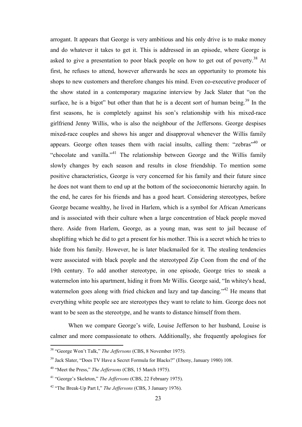arrogant. It appears that George is very ambitious and his only drive is to make money and do whatever it takes to get it. This is addressed in an episode, where George is asked to give a presentation to poor black people on how to get out of poverty.<sup>38</sup> At first, he refuses to attend, however afterwards he sees an opportunity to promote his shops to new customers and therefore changes his mind. Even co-executive producer of the show stated in a contemporary magazine interview by Jack Slater that "on the surface, he is a bigot" but other than that he is a decent sort of human being.<sup>39</sup> In the first seasons, he is completely against his son's relationship with his mixed-race girlfriend Jenny Willis, who is also the neighbour of the Jeffersons. George despises mixed-race couples and shows his anger and disapproval whenever the Willis family appears. George often teases them with racial insults, calling them: "zebras"<sup>40</sup> or "chocolate and vanilla."<sup>41</sup> The relationship between George and the Willis family slowly changes by each season and results in close friendship. To mention some positive characteristics, George is very concerned for his family and their future since he does not want them to end up at the bottom of the socioeconomic hierarchy again. In the end, he cares for his friends and has a good heart. Considering stereotypes, before George became wealthy, he lived in Harlem, which is a symbol for African Americans and is associated with their culture when a large concentration of black people moved there. Aside from Harlem, George, as a young man, was sent to jail because of shoplifting which he did to get a present for his mother. This is a secret which he tries to hide from his family. However, he is later blackmailed for it. The stealing tendencies were associated with black people and the stereotyped Zip Coon from the end of the 19th century. To add another stereotype, in one episode, George tries to sneak a watermelon into his apartment, hiding it from Mr Willis. George said, "In whitey's head, watermelon goes along with fried chicken and lazy and tap dancing."<sup>42</sup> He means that everything white people see are stereotypes they want to relate to him. George does not want to be seen as the stereotype, and he wants to distance himself from them.

When we compare George's wife, Louise Jefferson to her husband, Louise is calmer and more compassionate to others. Additionally, she frequently apologises for

 <sup>38</sup> "George Won't Talk," *The Jeffersons* (CBS, 8 November 1975).

<sup>&</sup>lt;sup>39</sup> Jack Slater, "Does TV Have a Secret Formula for Blacks?" (Ebony, January 1980) 108.

<sup>40</sup> "Meet the Press," *The Jeffersons* (CBS, 15 March 1975).

<sup>41</sup> "George's Skeleton," *The Jeffersons* (CBS, 22 February 1975).

<sup>42</sup> "The Break-Up Part I," *The Jeffersons* (CBS, 3 January 1976).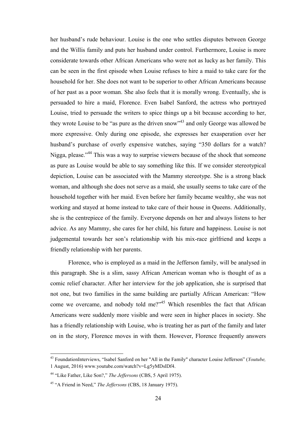her husband's rude behaviour. Louise is the one who settles disputes between George and the Willis family and puts her husband under control. Furthermore, Louise is more considerate towards other African Americans who were not as lucky as her family. This can be seen in the first episode when Louise refuses to hire a maid to take care for the household for her. She does not want to be superior to other African Americans because of her past as a poor woman. She also feels that it is morally wrong. Eventually, she is persuaded to hire a maid, Florence. Even Isabel Sanford, the actress who portrayed Louise, tried to persuade the writers to spice things up a bit because according to her, they wrote Louise to be "as pure as the driven snow"<sup>43</sup> and only George was allowed be more expressive. Only during one episode, she expresses her exasperation over her husband's purchase of overly expensive watches, saying "350 dollars for a watch? Nigga, please."<sup>44</sup> This was a way to surprise viewers because of the shock that someone as pure as Louise would be able to say something like this. If we consider stereotypical depiction, Louise can be associated with the Mammy stereotype. She is a strong black woman, and although she does not serve as a maid, she usually seems to take care of the household together with her maid. Even before her family became wealthy, she was not working and stayed at home instead to take care of their house in Queens. Additionally, she is the centrepiece of the family. Everyone depends on her and always listens to her advice. As any Mammy, she cares for her child, his future and happiness. Louise is not judgemental towards her son's relationship with his mix-race girlfriend and keeps a friendly relationship with her parents.

Florence, who is employed as a maid in the Jefferson family, will be analysed in this paragraph. She is a slim, sassy African American woman who is thought of as a comic relief character. After her interview for the job application, she is surprised that not one, but two families in the same building are partially African American: "How come we overcame, and nobody told me?"<sup>45</sup> Which resembles the fact that African Americans were suddenly more visible and were seen in higher places in society. She has a friendly relationship with Louise, who is treating her as part of the family and later on in the story, Florence moves in with them. However, Florence frequently answers

 <sup>43</sup> FoundationInterviews, "Isabel Sanford on her "All in the Family" character Louise Jefferson" (*Youtube,*  1 August, 2016) www.youtube.com/watch?v=Lg5yMDslDf4.

<sup>44</sup> "Like Father, Like Son?," *The Jeffersons* (CBS, 5 April 1975).

<sup>45</sup> "A Friend in Need," *The Jeffersons* (CBS, 18 January 1975).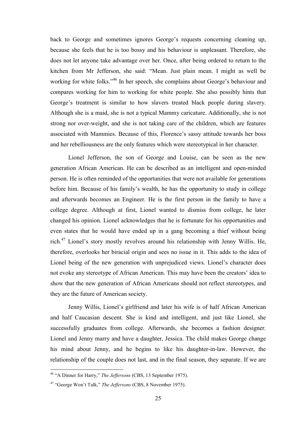back to George and sometimes ignores George's requests concerning cleaning up, because she feels that he is too bossy and his behaviour is unpleasant. Therefore, she does not let anyone take advantage over her. Once, after being ordered to return to the kitchen from Mr Jefferson, she said: "Mean. Just plain mean. I might as well be working for white folks."<sup>46</sup> In her speech, she complains about George's behaviour and compares working for him to working for white people. She also possibly hints that George's treatment is similar to how slavers treated black people during slavery. Although she is a maid, she is not a typical Mammy caricature. Additionally, she is not strong nor over-weight, and she is not taking care of the children, which are features associated with Mammies. Because of this, Florence's sassy attitude towards her boss and her rebelliousness are the only features which were stereotypical in her character.

Lionel Jefferson, the son of George and Louise, can be seen as the new generation African American. He can be described as an intelligent and open-minded person. He is often reminded of the opportunities that were not available for generations before him. Because of his family's wealth, he has the opportunity to study in college and afterwards becomes an Engineer. He is the first person in the family to have a college degree. Although at first, Lionel wanted to dismiss from college, he later changed his opinion. Lionel acknowledges that he is fortunate for his opportunities and even states that he would have ended up in a gang becoming a thief without being rich.<sup>47</sup> Lionel's story mostly revolves around his relationship with Jenny Willis. He, therefore, overlooks her biracial origin and sees no issue in it. This adds to the idea of Lionel being of the new generation with unprejudiced views. Lionel's character does not evoke any stereotype of African American. This may have been the creators' idea to show that the new generation of African Americans should not reflect stereotypes, and they are the future of American society.

Jenny Willis, Lionel's girlfriend and later his wife is of half African American and half Caucasian descent. She is kind and intelligent, and just like Lionel, she successfully graduates from college. Afterwards, she becomes a fashion designer. Lionel and Jenny marry and have a daughter, Jessica. The child makes George change his mind about Jenny, and he begins to like his daughter-in-law. However, the relationship of the couple does not last, and in the final season, they separate. If we are

 <sup>46</sup> "A Dinner for Harry," *The Jeffersons* (CBS, 13 September 1975).

<sup>47</sup> "George Won't Talk," *The Jeffersons* (CBS, 8 November 1975).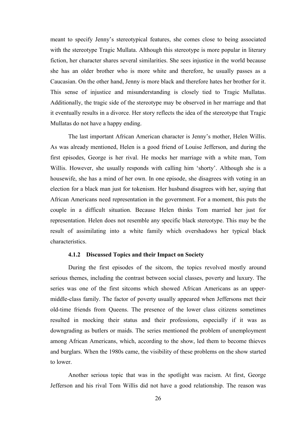<span id="page-25-0"></span>meant to specify Jenny's stereotypical features, she comes close to being associated with the stereotype Tragic Mullata. Although this stereotype is more popular in literary fiction, her character shares several similarities. She sees injustice in the world because she has an older brother who is more white and therefore, he usually passes as a Caucasian. On the other hand, Jenny is more black and therefore hates her brother for it. This sense of injustice and misunderstanding is closely tied to Tragic Mullatas. Additionally, the tragic side of the stereotype may be observed in her marriage and that it eventually results in a divorce. Her story reflects the idea of the stereotype that Tragic Mullatas do not have a happy ending.

The last important African American character is Jenny's mother, Helen Willis. As was already mentioned, Helen is a good friend of Louise Jefferson, and during the first episodes, George is her rival. He mocks her marriage with a white man, Tom Willis. However, she usually responds with calling him 'shorty'. Although she is a housewife, she has a mind of her own. In one episode, she disagrees with voting in an election for a black man just for tokenism. Her husband disagrees with her, saying that African Americans need representation in the government. For a moment, this puts the couple in a difficult situation. Because Helen thinks Tom married her just for representation. Helen does not resemble any specific black stereotype. This may be the result of assimilating into a white family which overshadows her typical black characteristics.

#### 4.1.2 Discussed Topics and their Impact on Society

During the first episodes of the sitcom, the topics revolved mostly around serious themes, including the contrast between social classes, poverty and luxury. The series was one of the first sitcoms which showed African Americans as an uppermiddle-class family. The factor of poverty usually appeared when Jeffersons met their old-time friends from Queens. The presence of the lower class citizens sometimes resulted in mocking their status and their professions, especially if it was as downgrading as butlers or maids. The series mentioned the problem of unemployment among African Americans, which, according to the show, led them to become thieves and burglars. When the 1980s came, the visibility of these problems on the show started to lower.

Another serious topic that was in the spotlight was racism. At first, George Jefferson and his rival Tom Willis did not have a good relationship. The reason was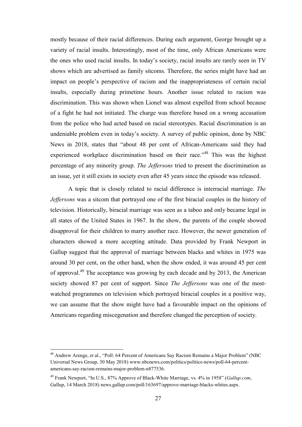mostly because of their racial differences. During each argument, George brought up a variety of racial insults. Interestingly, most of the time, only African Americans were the ones who used racial insults. In today's society, racial insults are rarely seen in TV shows which are advertised as family sitcoms. Therefore, the series might have had an impact on people's perspective of racism and the inappropriateness of certain racial insults, especially during primetime hours. Another issue related to racism was discrimination. This was shown when Lionel was almost expelled from school because of a fight he had not initiated. The charge was therefore based on a wrong accusation from the police who had acted based on racial stereotypes. Racial discrimination is an undeniable problem even in today's society. A survey of public opinion, done by NBC News in 2018, states that "about 48 per cent of African-Americans said they had experienced workplace discrimination based on their race."<sup>48</sup> This was the highest percentage of any minority group. *The Jeffersons* tried to present the discrimination as an issue, yet it still exists in society even after 45 years since the episode was released.

A topic that is closely related to racial difference is interracial marriage. *The Jeffersons* was a sitcom that portrayed one of the first biracial couples in the history of television. Historically, biracial marriage was seen as a taboo and only became legal in all states of the United States in 1967. In the show, the parents of the couple showed disapproval for their children to marry another race. However, the newer generation of characters showed a more accepting attitude. Data provided by Frank Newport in Gallup suggest that the approval of marriage between blacks and whites in 1975 was around 30 per cent, on the other hand, when the show ended, it was around 45 per cent of approval.<sup>49</sup> The acceptance was growing by each decade and by 2013, the American society showed 87 per cent of support. Since *The Jeffersons* was one of the mostwatched programmes on television which portrayed biracial couples in a positive way, we can assume that the show might have had a favourable impact on the opinions of Americans regarding miscegenation and therefore changed the perception of society.

 <sup>48</sup> Andrew Arenge, et al., "Poll: 64 Percent of Americans Say Racism Remains a Major Problem" (NBC Universal News Group, 30 May 2018) www.nbcnews.com/politics/politics-news/poll-64-percentamericans-say-racism-remains-major-problem-n877536.

<sup>49</sup> Frank Newport, "In U.S., 87% Approve of Black-White Marriage, vs. 4% in 1958" (*Gallup.com*, Gallup, 14 March 2018) news.gallup.com/poll/163697/approve-marriage-blacks-whites.aspx.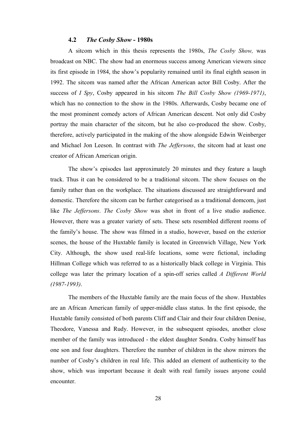#### 4.2 *The Cosby Show* - 1980s

<span id="page-27-0"></span>A sitcom which in this thesis represents the 1980s, *The Cosby Show,* was broadcast on NBC. The show had an enormous success among American viewers since its first episode in 1984, the show's popularity remained until its final eighth season in 1992. The sitcom was named after the African American actor Bill Cosby. After the success of *I Spy*, Cosby appeared in his sitcom *The Bill Cosby Show (1969-1971)*, which has no connection to the show in the 1980s. Afterwards, Cosby became one of the most prominent comedy actors of African American descent. Not only did Cosby portray the main character of the sitcom, but he also co-produced the show. Cosby, therefore, actively participated in the making of the show alongside Edwin Weinberger and Michael Jon Leeson. In contrast with *The Jeffersons*, the sitcom had at least one creator of African American origin.

The show's episodes last approximately 20 minutes and they feature a laugh track. Thus it can be considered to be a traditional sitcom. The show focuses on the family rather than on the workplace. The situations discussed are straightforward and domestic. Therefore the sitcom can be further categorised as a traditional domcom, just like *The Jeffersons*. *The Cosby Show* was shot in front of a live studio audience. However, there was a greater variety of sets. These sets resembled different rooms of the family's house. The show was filmed in a studio, however, based on the exterior scenes, the house of the Huxtable family is located in Greenwich Village, New York City. Although, the show used real-life locations, some were fictional, including Hillman College which was referred to as a historically black college in Virginia. This college was later the primary location of a spin-off series called *A Different World (1987-1993)*.

The members of the Huxtable family are the main focus of the show. Huxtables are an African American family of upper-middle class status. In the first episode, the Huxtable family consisted of both parents Cliff and Clair and their four children Denise, Theodore, Vanessa and Rudy. However, in the subsequent episodes, another close member of the family was introduced - the eldest daughter Sondra. Cosby himself has one son and four daughters. Therefore the number of children in the show mirrors the number of Cosby's children in real life. This added an element of authenticity to the show, which was important because it dealt with real family issues anyone could encounter.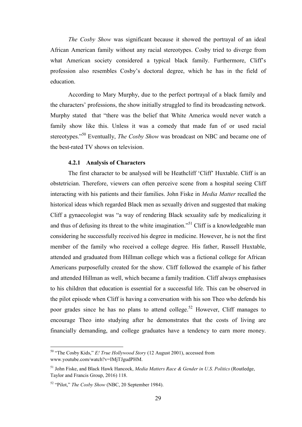<span id="page-28-0"></span>*The Cosby Show* was significant because it showed the portrayal of an ideal African American family without any racial stereotypes. Cosby tried to diverge from what American society considered a typical black family. Furthermore, Cliff's profession also resembles Cosby's doctoral degree, which he has in the field of education.

According to Mary Murphy, due to the perfect portrayal of a black family and the characters' professions, the show initially struggled to find its broadcasting network. Murphy stated that "there was the belief that White America would never watch a family show like this. Unless it was a comedy that made fun of or used racial stereotypes."<sup>50</sup> Eventually, *The Cosby Show* was broadcast on NBC and became one of the best-rated TV shows on television.

#### 4.2.1 Analysis of Characters

The first character to be analysed will be Heathcliff 'Cliff' Huxtable. Cliff is an obstetrician. Therefore, viewers can often perceive scene from a hospital seeing Cliff interacting with his patients and their families. John Fiske in *Media Matter* recalled the historical ideas which regarded Black men as sexually driven and suggested that making Cliff a gynaecologist was "a way of rendering Black sexuality safe by medicalizing it and thus of defusing its threat to the white imagination."<sup>51</sup> Cliff is a knowledgeable man considering he successfully received his degree in medicine. However, he is not the first member of the family who received a college degree. His father, Russell Huxtable, attended and graduated from Hillman college which was a fictional college for African Americans purposefully created for the show. Cliff followed the example of his father and attended Hillman as well, which became a family tradition. Cliff always emphasises to his children that education is essential for a successful life. This can be observed in the pilot episode when Cliff is having a conversation with his son Theo who defends his poor grades since he has no plans to attend college.<sup>52</sup> However, Cliff manages to encourage Theo into studying after he demonstrates that the costs of living are financially demanding, and college graduates have a tendency to earn more money.

 <sup>50</sup> "The Cosby Kids," *E! True Hollywood Story* (12 August 2001), accessed from www.youtube.com/watch?v=IMjTJgudPHM.

<sup>51</sup> John Fiske, and Black Hawk Hancock, *Media Matters Race & Gender in U.S. Politics* (Routledge, Taylor and Francis Group, 2016) 118.

<sup>52</sup> "Pilot," *The Cosby Show* (NBC, 20 September 1984).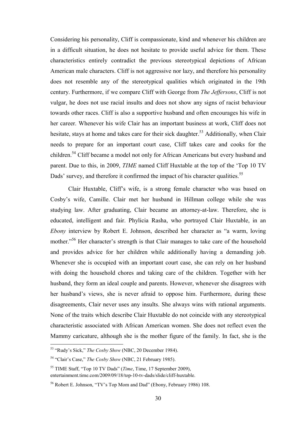Considering his personality, Cliff is compassionate, kind and whenever his children are in a difficult situation, he does not hesitate to provide useful advice for them. These characteristics entirely contradict the previous stereotypical depictions of African American male characters. Cliff is not aggressive nor lazy, and therefore his personality does not resemble any of the stereotypical qualities which originated in the 19th century. Furthermore, if we compare Cliff with George from *The Jeffersons*, Cliff is not vulgar, he does not use racial insults and does not show any signs of racist behaviour towards other races. Cliff is also a supportive husband and often encourages his wife in her career. Whenever his wife Clair has an important business at work, Cliff does not hesitate, stays at home and takes care for their sick daughter.<sup>53</sup> Additionally, when Clair needs to prepare for an important court case, Cliff takes care and cooks for the children.<sup>54</sup> Cliff became a model not only for African Americans but every husband and parent. Due to this, in 2009, *TIME* named Cliff Huxtable at the top of the 'Top 10 TV Dads' survey, and therefore it confirmed the impact of his character qualities.<sup>55</sup>

Clair Huxtable, Cliff's wife, is a strong female character who was based on Cosby's wife, Camille. Clair met her husband in Hillman college while she was studying law. After graduating, Clair became an attorney-at-law. Therefore, she is educated, intelligent and fair. Phylicia Rasha, who portrayed Clair Huxtable, in an *Ebony* interview by Robert E. Johnson, described her character as "a warm, loving mother."<sup>56</sup> Her character's strength is that Clair manages to take care of the household and provides advice for her children while additionally having a demanding job. Whenever she is occupied with an important court case, she can rely on her husband with doing the household chores and taking care of the children. Together with her husband, they form an ideal couple and parents. However, whenever she disagrees with her husband's views, she is never afraid to oppose him. Furthermore, during these disagreements, Clair never uses any insults. She always wins with rational arguments. None of the traits which describe Clair Huxtable do not coincide with any stereotypical characteristic associated with African American women. She does not reflect even the Mammy caricature, although she is the mother figure of the family. In fact, she is the

 <sup>53</sup> "Rudy's Sick," *The Cosby Show* (NBC, 20 December 1984).

<sup>54</sup> "Clair's Case," *The Cosby Show* (NBC, 21 February 1985).

<sup>55</sup> TIME Staff, "Top 10 TV Dads" (*Time*, Time, 17 September 2009), entertainment.time.com/2009/09/18/top-10-tv-dads/slide/cliff-huxtable.

<sup>56</sup> Robert E. Johnson, "TV's Top Mom and Dad" (Ebony, February 1986) 108.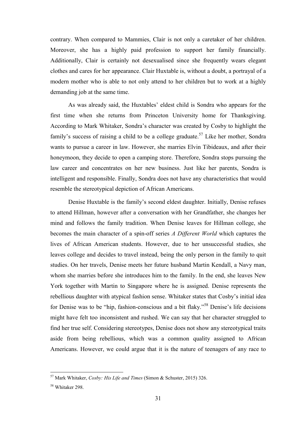contrary. When compared to Mammies, Clair is not only a caretaker of her children. Moreover, she has a highly paid profession to support her family financially. Additionally, Clair is certainly not desexualised since she frequently wears elegant clothes and cares for her appearance. Clair Huxtable is, without a doubt, a portrayal of a modern mother who is able to not only attend to her children but to work at a highly demanding job at the same time.

As was already said, the Huxtables' eldest child is Sondra who appears for the first time when she returns from Princeton University home for Thanksgiving. According to Mark Whitaker, Sondra's character was created by Cosby to highlight the family's success of raising a child to be a college graduate.<sup>57</sup> Like her mother, Sondra wants to pursue a career in law. However, she marries Elvin Tibideaux, and after their honeymoon, they decide to open a camping store. Therefore, Sondra stops pursuing the law career and concentrates on her new business. Just like her parents, Sondra is intelligent and responsible. Finally, Sondra does not have any characteristics that would resemble the stereotypical depiction of African Americans.

Denise Huxtable is the family's second eldest daughter. Initially, Denise refuses to attend Hillman, however after a conversation with her Grandfather, she changes her mind and follows the family tradition. When Denise leaves for Hillman college, she becomes the main character of a spin-off series *A Different World* which captures the lives of African American students. However, due to her unsuccessful studies, she leaves college and decides to travel instead, being the only person in the family to quit studies. On her travels, Denise meets her future husband Martin Kendall, a Navy man, whom she marries before she introduces him to the family. In the end, she leaves New York together with Martin to Singapore where he is assigned. Denise represents the rebellious daughter with atypical fashion sense. Whitaker states that Cosby's initial idea for Denise was to be "hip, fashion-conscious and a bit flaky." <sup>58</sup> Denise's life decisions might have felt too inconsistent and rushed. We can say that her character struggled to find her true self. Considering stereotypes, Denise does not show any stereotypical traits aside from being rebellious, which was a common quality assigned to African Americans. However, we could argue that it is the nature of teenagers of any race to

 <sup>57</sup> Mark Whitaker, *Cosby: His Life and Times* (Simon & Schuster, 2015) 326.

<sup>58</sup> Whitaker 298.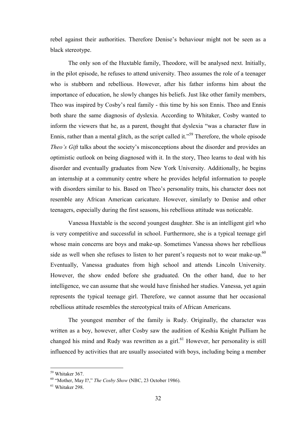rebel against their authorities. Therefore Denise's behaviour might not be seen as a black stereotype.

The only son of the Huxtable family, Theodore, will be analysed next. Initially, in the pilot episode, he refuses to attend university. Theo assumes the role of a teenager who is stubborn and rebellious. However, after his father informs him about the importance of education, he slowly changes his beliefs. Just like other family members, Theo was inspired by Cosby's real family - this time by his son Ennis. Theo and Ennis both share the same diagnosis of dyslexia. According to Whitaker, Cosby wanted to inform the viewers that he, as a parent, thought that dyslexia "was a character flaw in Ennis, rather than a mental glitch, as the script called it."<sup>59</sup> Therefore, the whole episode *Theo's Gift* talks about the society's misconceptions about the disorder and provides an optimistic outlook on being diagnosed with it. In the story, Theo learns to deal with his disorder and eventually graduates from New York University. Additionally, he begins an internship at a community centre where he provides helpful information to people with disorders similar to his. Based on Theo's personality traits, his character does not resemble any African American caricature. However, similarly to Denise and other teenagers, especially during the first seasons, his rebellious attitude was noticeable.

Vanessa Huxtable is the second youngest daughter. She is an intelligent girl who is very competitive and successful in school. Furthermore, she is a typical teenage girl whose main concerns are boys and make-up. Sometimes Vanessa shows her rebellious side as well when she refuses to listen to her parent's requests not to wear make-up. $60$ Eventually, Vanessa graduates from high school and attends Lincoln University. However, the show ended before she graduated. On the other hand, due to her intelligence, we can assume that she would have finished her studies. Vanessa, yet again represents the typical teenage girl. Therefore, we cannot assume that her occasional rebellious attitude resembles the stereotypical traits of African Americans.

The youngest member of the family is Rudy. Originally, the character was written as a boy, however, after Cosby saw the audition of Keshia Knight Pulliam he changed his mind and Rudy was rewritten as a girl.<sup>61</sup> However, her personality is still influenced by activities that are usually associated with boys, including being a member

 <sup>59</sup> Whitaker 367.

<sup>60</sup> "Mother, May I?," *The Cosby Show* (NBC, 23 October 1986).

<sup>61</sup> Whitaker 298.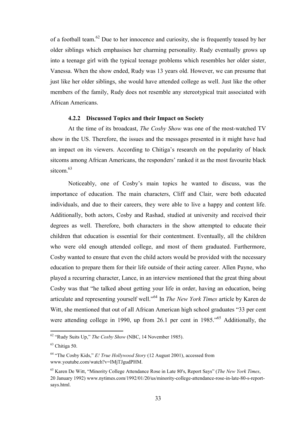<span id="page-32-0"></span>of a football team.<sup>62</sup> Due to her innocence and curiosity, she is frequently teased by her older siblings which emphasises her charming personality. Rudy eventually grows up into a teenage girl with the typical teenage problems which resembles her older sister, Vanessa. When the show ended, Rudy was 13 years old. However, we can presume that just like her older siblings, she would have attended college as well. Just like the other members of the family, Rudy does not resemble any stereotypical trait associated with African Americans.

#### 4.2.2 Discussed Topics and their Impact on Society

At the time of its broadcast, *The Cosby Show* was one of the most-watched TV show in the US. Therefore, the issues and the messages presented in it might have had an impact on its viewers. According to Chitiga's research on the popularity of black sitcoms among African Americans, the responders' ranked it as the most favourite black sitcom  $63$ 

Noticeably, one of Cosby's main topics he wanted to discuss, was the importance of education. The main characters, Cliff and Clair, were both educated individuals, and due to their careers, they were able to live a happy and content life. Additionally, both actors, Cosby and Rashad, studied at university and received their degrees as well. Therefore, both characters in the show attempted to educate their children that education is essential for their contentment. Eventually, all the children who were old enough attended college, and most of them graduated. Furthermore, Cosby wanted to ensure that even the child actors would be provided with the necessary education to prepare them for their life outside of their acting career. Allen Payne, who played a recurring character, Lance, in an interview mentioned that the great thing about Cosby was that "he talked about getting your life in order, having an education, being articulate and representing yourself well."<sup>64</sup> In *The New York Times* article by Karen de Witt, she mentioned that out of all African American high school graduates "33 per cent were attending college in 1990, up from 26.1 per cent in 1985."<sup>65</sup> Additionally, the

 <sup>62</sup> "Rudy Suits Up," *The Cosby Show* (NBC, 14 November 1985).

 $63$  Chitiga 50.

<sup>64</sup> "The Cosby Kids," *E! True Hollywood Story* (12 August 2001), accessed from www.youtube.com/watch?v=IMjTJgudPHM.

<sup>65</sup> Karen De Witt, "Minority College Attendance Rose in Late 80's, Report Says" (*The New York Times*, 20 January 1992) www.nytimes.com/1992/01/20/us/minority-college-attendance-rose-in-late-80-s-reportsays.html.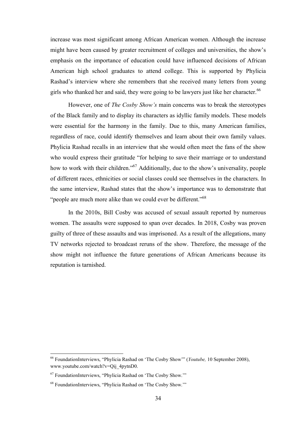increase was most significant among African American women. Although the increase might have been caused by greater recruitment of colleges and universities, the show's emphasis on the importance of education could have influenced decisions of African American high school graduates to attend college. This is supported by Phylicia Rashad's interview where she remembers that she received many letters from young girls who thanked her and said, they were going to be lawyers just like her character.<sup>66</sup>

However, one of *The Cosby Show's* main concerns was to break the stereotypes of the Black family and to display its characters as idyllic family models. These models were essential for the harmony in the family. Due to this, many American families, regardless of race, could identify themselves and learn about their own family values. Phylicia Rashad recalls in an interview that she would often meet the fans of the show who would express their gratitude "for helping to save their marriage or to understand how to work with their children."<sup>67</sup> Additionally, due to the show's universality, people of different races, ethnicities or social classes could see themselves in the characters. In the same interview, Rashad states that the show's importance was to demonstrate that "people are much more alike than we could ever be different."<sup>68</sup>

In the 2010s, Bill Cosby was accused of sexual assault reported by numerous women. The assaults were supposed to span over decades. In 2018, Cosby was proven guilty of three of these assaults and was imprisoned. As a result of the allegations, many TV networks rejected to broadcast reruns of the show. Therefore, the message of the show might not influence the future generations of African Americans because its reputation is tarnished.

 <sup>66</sup> FoundationInterviews, "Phylicia Rashad on 'The Cosby Show'" (*Youtube,* 10 September 2008), www.youtube.com/watch?v=Qij\_4pytnD0.

 $67$  FoundationInterviews, "Phylicia Rashad on 'The Cosby Show."

<sup>68</sup> FoundationInterviews, "Phylicia Rashad on 'The Cosby Show.'"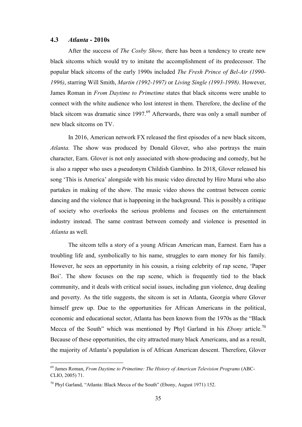#### <span id="page-34-0"></span>4.3 *Atlanta* - 2010s

After the success of *The Cosby Show,* there has been a tendency to create new black sitcoms which would try to imitate the accomplishment of its predecessor. The popular black sitcoms of the early 1990s included *The Fresh Prince of Bel-Air (1990- 1996)*, starring Will Smith, *Martin (1992-1997)* or *Living Single (1993-1998)*. However, James Roman in *From Daytime to Primetime* states that black sitcoms were unable to connect with the white audience who lost interest in them. Therefore, the decline of the black sitcom was dramatic since  $1997<sup>69</sup>$  Afterwards, there was only a small number of new black sitcoms on TV.

In 2016, American network FX released the first episodes of a new black sitcom, *Atlanta.* The show was produced by Donald Glover, who also portrays the main character, Earn. Glover is not only associated with show-producing and comedy, but he is also a rapper who uses a pseudonym Childish Gambino. In 2018, Glover released his song 'This is America' alongside with his music video directed by Hiro Murai who also partakes in making of the show. The music video shows the contrast between comic dancing and the violence that is happening in the background. This is possibly a critique of society who overlooks the serious problems and focuses on the entertainment industry instead. The same contrast between comedy and violence is presented in *Atlanta* as well*.*

The sitcom tells a story of a young African American man, Earnest. Earn has a troubling life and, symbolically to his name, struggles to earn money for his family. However, he sees an opportunity in his cousin, a rising celebrity of rap scene, 'Paper Boi'. The show focuses on the rap scene, which is frequently tied to the black community, and it deals with critical social issues, including gun violence, drug dealing and poverty. As the title suggests, the sitcom is set in Atlanta, Georgia where Glover himself grew up. Due to the opportunities for African Americans in the political, economic and educational sector, Atlanta has been known from the 1970s as the "Black Mecca of the South" which was mentioned by Phyl Garland in his *Ebony* article. 70 Because of these opportunities, the city attracted many black Americans, and as a result, the majority of Atlanta's population is of African American descent. Therefore, Glover

 <sup>69</sup> James Roman, *From Daytime to Primetime: The History of American Television Programs* (ABC-CLIO, 2005) 71.

<sup>70</sup> Phyl Garland, "Atlanta: Black Mecca of the South" (Ebony, August 1971) 152.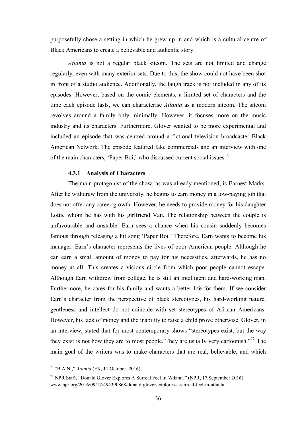<span id="page-35-0"></span>purposefully chose a setting in which he grew up in and which is a cultural centre of Black Americans to create a believable and authentic story.

*Atlanta* is not a regular black sitcom. The sets are not limited and change regularly, even with many exterior sets. Due to this, the show could not have been shot in front of a studio audience. Additionally, the laugh track is not included in any of its episodes. However, based on the comic elements, a limited set of characters and the time each episode lasts, we can characterise *Atlanta* as a modern sitcom. The sitcom revolves around a family only minimally. However, it focuses more on the music industry and its characters. Furthermore, Glover wanted to be more experimental and included an episode that was centred around a fictional television broadcaster Black American Network. The episode featured fake commercials and an interview with one of the main characters, 'Paper Boi,' who discussed current social issues.<sup>71</sup>

#### 4.3.1 Analysis of Characters

The main protagonist of the show, as was already mentioned, is Earnest Marks. After he withdrew from the university, he begins to earn money in a low-paying job that does not offer any career growth. However, he needs to provide money for his daughter Lottie whom he has with his girlfriend Van. The relationship between the couple is unfavourable and unstable. Earn sees a chance when his cousin suddenly becomes famous through releasing a hit song 'Paper Boi.' Therefore, Earn wants to become his manager. Earn's character represents the lives of poor American people. Although he can earn a small amount of money to pay for his necessities, afterwards, he has no money at all. This creates a vicious circle from which poor people cannot escape. Although Earn withdrew from college, he is still an intelligent and hard-working man. Furthermore, he cares for his family and wants a better life for them. If we consider Earn's character from the perspective of black stereotypes, his hard-working nature, gentleness and intellect do not coincide with set stereotypes of African Americans. However, his lack of money and the inability to raise a child prove otherwise. Glover, in an interview, stated that for most contemporary shows "stereotypes exist, but the way they exist is not how they are to most people. They are usually very cartoonish.<sup> $272$ </sup> The main goal of the writers was to make characters that are real, believable, and which

 <sup>71</sup> "B.A.N.," *Atlanta* (FX, 11 October, 2016).

<sup>72</sup> NPR Staff, "Donald Glover Explores A Surreal Feel In 'Atlanta'" (NPR, 17 September 2016) www.npr.org/2016/09/17/494390868/donald-glover-explores-a-surreal-feel-in-atlanta.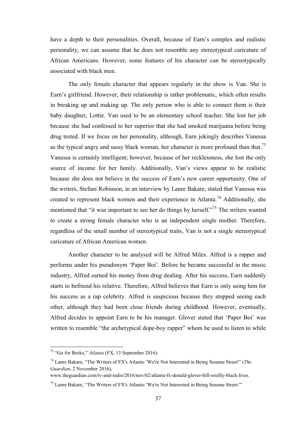have a depth to their personalities. Overall, because of Earn's complex and realistic personality, we can assume that he does not resemble any stereotypical caricature of African Americans. However, some features of his character can be stereotypically associated with black men.

The only female character that appears regularly in the show is Van. She is Earn's girlfriend. However, their relationship is rather problematic, which often results in breaking up and making up. The only person who is able to connect them is their baby daughter, Lottie. Van used to be an elementary school teacher. She lost her job because she had confessed to her superior that she had smoked marijuana before being drug tested. If we focus on her personality, although, Earn jokingly describes Vanessa as the typical angry and sassy black woman, her character is more profound than that.<sup>73</sup> Vanessa is certainly intelligent; however, because of her recklessness, she lost the only source of income for her family. Additionally, Van's views appear to be realistic because she does not believe in the success of Earn's new career opportunity. One of the writers, Stefani Robinson, in an interview by Lanre Bakare, stated that Vanessa was created to represent black women and their experience in Atlanta.<sup>74</sup> Additionally, she mentioned that "it was important to see her do things by herself."<sup>75</sup> The writers wanted to create a strong female character who is an independent single mother. Therefore, regardless of the small number of stereotypical traits, Van is not a single stereotypical caricature of African American women.

Another character to be analysed will be Alfred Miles. Alfred is a rapper and performs under his pseudonym 'Paper Boi'. Before he became successful in the music industry, Alfred earned his money from drug dealing. After his success, Earn suddenly starts to befriend his relative. Therefore, Alfred believes that Earn is only using him for his success as a rap celebrity. Alfred is suspicious because they stopped seeing each other, although they had been close friends during childhood. However, eventually, Alfred decides to appoint Earn to be his manager. Glover stated that 'Paper Boi' was written to resemble "the archetypical dope-boy rapper" whom he used to listen to while

 <sup>73</sup> "Go for Broke," *Atlanta* (FX, 13 September 2016).

<sup>74</sup> Lanre Bakare, "The Writers of FX's Atlanta: 'We're Not Interested in Being Sesame Street'" (*The Guardian*, 2 November 2016),

www.theguardian.com/tv-and-radio/2016/nov/02/atlanta-fx-donald-glover-bill-oreilly-black-lives.

<sup>&</sup>lt;sup>75</sup> Lanre Bakare, "The Writers of FX's Atlanta: 'We're Not Interested in Being Sesame Street."'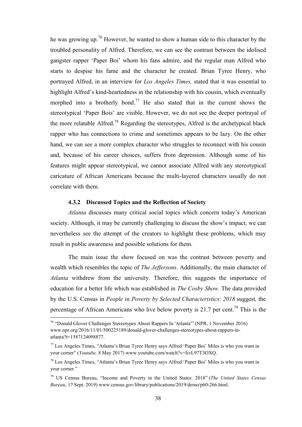<span id="page-37-0"></span>he was growing up.<sup>76</sup> However, he wanted to show a human side to this character by the troubled personality of Alfred. Therefore, we can see the contrast between the idolised gangster rapper 'Paper Boi' whom his fans admire, and the regular man Alfred who starts to despise his fame and the character he created. Brian Tyree Henry, who portrayed Alfred, in an interview for *Los Angeles Times,* stated that it was essential to highlight Alfred's kind-heartedness in the relationship with his cousin, which eventually morphed into a brotherly bond.<sup>77</sup> He also stated that in the current shows the stereotypical 'Paper Bois' are visible. However, we do not see the deeper portrayal of the more relatable Alfred.<sup>78</sup> Regarding the stereotypes, Alfred is the archetypical black rapper who has connections to crime and sometimes appears to be lazy. On the other hand, we can see a more complex character who struggles to reconnect with his cousin and, because of his career choices, suffers from depression. Although some of his features might appear stereotypical, we cannot associate Alfred with any stereotypical caricature of African Americans because the multi-layered characters usually do not correlate with them.

#### 4.3.2 Discussed Topics and the Reflection of Society

*Atlanta* discusses many critical social topics which concern today's American society. Although, it may be currently challenging to discuss the show's impact, we can nevertheless see the attempt of the creators to highlight these problems, which may result in public awareness and possible solutions for them.

The main issue the show focused on was the contrast between poverty and wealth which resembles the topic of *The Jeffersons*. Additionally, the main character of *Atlanta* withdrew from the university. Therefore, this suggests the importance of education for a better life which was established in *The Cosby Show.* The data provided by the U.S. Census in *People in Poverty by Selected Characteristics*: *2018* suggest*,* the percentage of African Americans who live below poverty is 21.7 per cent.<sup>79</sup> This is the

 <sup>76</sup> "Donald Glover Challenges Stereotypes About Rappers In 'Atlanta'" (NPR, 1 November 2016) www.npr.org/2016/11/01/500225189/donald-glover-challenges-stereotypes-about-rappers-inatlanta?t=1587124098877.

 $<sup>77</sup>$  Los Angeles Times, "Atlanta's Brian Tyree Henry says Alfred 'Paper Boi' Miles is who you want in</sup> your corner" (*Youtube,* 8 May 2017) www.youtube.com/watch?v=IivL97T3OXQ.

<sup>78</sup> Los Angeles Times, "Atlanta's Brian Tyree Henry says Alfred 'Paper Boi' Miles is who you want in your corner."

<sup>79</sup> US Census Bureau, "Income and Poverty in the United States: 2018" (*The United States Census Bureau*, 17 Sept. 2019) www.census.gov/library/publications/2019/demo/p60-266.html.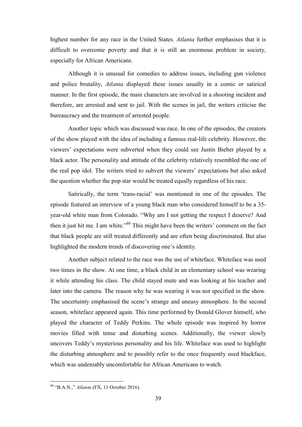highest number for any race in the United States. *Atlanta* further emphasises that it is difficult to overcome poverty and that it is still an enormous problem in society, especially for African Americans.

Although it is unusual for comedies to address issues, including gun violence and police brutality, *Atlanta* displayed these issues usually in a comic or satirical manner. In the first episode, the main characters are involved in a shooting incident and therefore, are arrested and sent to jail. With the scenes in jail, the writers criticise the bureaucracy and the treatment of arrested people.

Another topic which was discussed was race. In one of the episodes, the creators of the show played with the idea of including a famous real-life celebrity. However, the viewers' expectations were subverted when they could see Justin Bieber played by a black actor. The personality and attitude of the celebrity relatively resembled the one of the real pop idol. The writers tried to subvert the viewers' expectations but also asked the question whether the pop star would be treated equally regardless of his race.

Satirically, the term 'trans-racial' was mentioned in one of the episodes. The episode featured an interview of a young black man who considered himself to be a 35 year-old white man from Colorado. "Why am I not getting the respect I deserve? And then it just hit me. I am white."<sup>80</sup> This might have been the writers' comment on the fact that black people are still treated differently and are often being discriminated. But also highlighted the modern trends of discovering one's identity.

Another subject related to the race was the use of whiteface. Whiteface was used two times in the show. At one time, a black child in an elementary school was wearing it while attending his class. The child stayed mute and was looking at his teacher and later into the camera. The reason why he was wearing it was not specified in the show. The uncertainty emphasised the scene's strange and uneasy atmosphere. In the second season, whiteface appeared again. This time performed by Donald Glover himself, who played the character of Teddy Perkins. The whole episode was inspired by horror movies filled with tense and disturbing scenes. Additionally, the viewer slowly uncovers Teddy's mysterious personality and his life. Whiteface was used to highlight the disturbing atmosphere and to possibly refer to the once frequently used blackface, which was undeniably uncomfortable for African Americans to watch.

 <sup>80</sup> "B.A.N.," *Atlanta* (FX, 11 October 2016).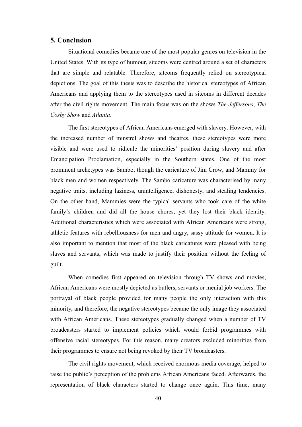#### <span id="page-39-0"></span>5. Conclusion

Situational comedies became one of the most popular genres on television in the United States. With its type of humour, sitcoms were centred around a set of characters that are simple and relatable. Therefore, sitcoms frequently relied on stereotypical depictions. The goal of this thesis was to describe the historical stereotypes of African Americans and applying them to the stereotypes used in sitcoms in different decades after the civil rights movement. The main focus was on the shows *The Jeffersons*, *The Cosby Show* and *Atlanta*.

The first stereotypes of African Americans emerged with slavery. However, with the increased number of minstrel shows and theatres, these stereotypes were more visible and were used to ridicule the minorities' position during slavery and after Emancipation Proclamation, especially in the Southern states. One of the most prominent archetypes was Sambo, though the caricature of Jim Crow, and Mammy for black men and women respectively. The Sambo caricature was characterised by many negative traits, including laziness, unintelligence, dishonesty, and stealing tendencies. On the other hand, Mammies were the typical servants who took care of the white family's children and did all the house chores, yet they lost their black identity. Additional characteristics which were associated with African Americans were strong, athletic features with rebelliousness for men and angry, sassy attitude for women. It is also important to mention that most of the black caricatures were pleased with being slaves and servants, which was made to justify their position without the feeling of guilt.

When comedies first appeared on television through TV shows and movies, African Americans were mostly depicted as butlers, servants or menial job workers. The portrayal of black people provided for many people the only interaction with this minority, and therefore, the negative stereotypes became the only image they associated with African Americans. These stereotypes gradually changed when a number of TV broadcasters started to implement policies which would forbid programmes with offensive racial stereotypes. For this reason, many creators excluded minorities from their programmes to ensure not being revoked by their TV broadcasters.

The civil rights movement, which received enormous media coverage, helped to raise the public's perception of the problems African Americans faced. Afterwards, the representation of black characters started to change once again. This time, many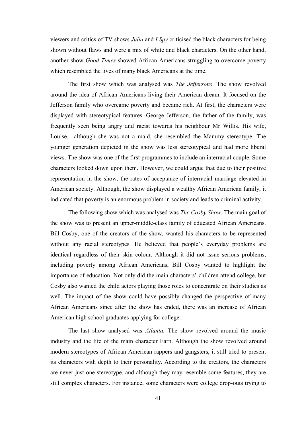viewers and critics of TV shows *Julia* and *I Spy* criticised the black characters for being shown without flaws and were a mix of white and black characters. On the other hand, another show *Good Times* showed African Americans struggling to overcome poverty which resembled the lives of many black Americans at the time.

The first show which was analysed was *The Jeffersons*. The show revolved around the idea of African Americans living their American dream. It focused on the Jefferson family who overcame poverty and became rich. At first, the characters were displayed with stereotypical features. George Jefferson, the father of the family, was frequently seen being angry and racist towards his neighbour Mr Willis. His wife, Louise, although she was not a maid, she resembled the Mammy stereotype. The younger generation depicted in the show was less stereotypical and had more liberal views. The show was one of the first programmes to include an interracial couple. Some characters looked down upon them. However, we could argue that due to their positive representation in the show, the rates of acceptance of interracial marriage elevated in American society. Although, the show displayed a wealthy African American family, it indicated that poverty is an enormous problem in society and leads to criminal activity.

The following show which was analysed was *The Cosby Show.* The main goal of the show was to present an upper-middle-class family of educated African Americans. Bill Cosby, one of the creators of the show, wanted his characters to be represented without any racial stereotypes. He believed that people's everyday problems are identical regardless of their skin colour. Although it did not issue serious problems, including poverty among African Americans, Bill Cosby wanted to highlight the importance of education. Not only did the main characters' children attend college, but Cosby also wanted the child actors playing those roles to concentrate on their studies as well. The impact of the show could have possibly changed the perspective of many African Americans since after the show has ended, there was an increase of African American high school graduates applying for college.

The last show analysed was *Atlanta.* The show revolved around the music industry and the life of the main character Earn. Although the show revolved around modern stereotypes of African American rappers and gangsters, it still tried to present its characters with depth to their personality. According to the creators, the characters are never just one stereotype, and although they may resemble some features, they are still complex characters. For instance, some characters were college drop-outs trying to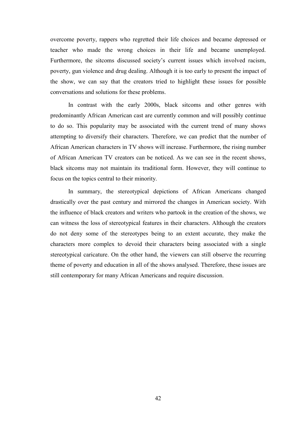overcome poverty, rappers who regretted their life choices and became depressed or teacher who made the wrong choices in their life and became unemployed. Furthermore, the sitcoms discussed society's current issues which involved racism, poverty, gun violence and drug dealing. Although it is too early to present the impact of the show, we can say that the creators tried to highlight these issues for possible conversations and solutions for these problems.

In contrast with the early 2000s, black sitcoms and other genres with predominantly African American cast are currently common and will possibly continue to do so. This popularity may be associated with the current trend of many shows attempting to diversify their characters. Therefore, we can predict that the number of African American characters in TV shows will increase. Furthermore, the rising number of African American TV creators can be noticed. As we can see in the recent shows, black sitcoms may not maintain its traditional form. However, they will continue to focus on the topics central to their minority.

In summary, the stereotypical depictions of African Americans changed drastically over the past century and mirrored the changes in American society. With the influence of black creators and writers who partook in the creation of the shows, we can witness the loss of stereotypical features in their characters. Although the creators do not deny some of the stereotypes being to an extent accurate, they make the characters more complex to devoid their characters being associated with a single stereotypical caricature. On the other hand, the viewers can still observe the recurring theme of poverty and education in all of the shows analysed. Therefore, these issues are still contemporary for many African Americans and require discussion.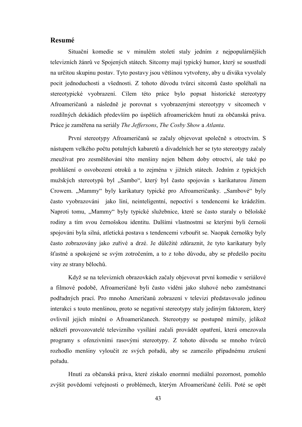#### <span id="page-42-0"></span>Resumé

Situační komedie se v minulém století staly jedním z nejpopulárnějších televizních žánrů ve Spojených státech. Sitcomy mají typický humor, který se soustředí na určitou skupinu postav. Tyto postavy jsou většinou vytvořeny, aby u diváka vyvolaly pocit jednoduchosti a všednosti. Z tohoto důvodu tvůrci sitcomů často spoléhali na stereotypické vyobrazení. Cílem této práce bylo popsat historické stereotypy Afroameričanů a následně je porovnat s vyobrazenými stereotypy v sitcomech v rozdílných dekádách především po úspěších afroamerickém hnutí za občanská práva. Práce je zaměřena na seriály *The Jeffersons*, *The Cosby Show* a *Atlanta*.

První stereotypy Afroameričanů se začaly objevovat společně s otroctvím. S nástupem velkého počtu potulných kabaretů a divadelních her se tyto stereotypy začaly zneužívat pro zesměšňování této menšiny nejen během doby otroctví, ale také po prohlášení o osvobození otroků a to zejména v jižních státech. Jedním z typických mužských stereotypů byl "Sambo", který byl často spojován s karikaturou Jimem Crowem. "Mammy" byly karikatury typické pro Afroameričanky. "Sambové" byly často vyobrazováni jako líní, neinteligentní, nepoctiví s tendencemi ke krádežím. Naproti tomu, "Mammy" byly typické služebnice, které se často staraly o bělošské rodiny a tím svou černošskou identitu. Dalšími vlastnostmi se kterými byli černoši spojováni byla silná, atletická postava s tendencemi vzbouřit se. Naopak černošky byly často zobrazovány jako zuřivé a drzé. Je důležité zdůraznit, že tyto karikatury byly šťastné a spokojené se svým zotročením, a to z toho důvodu, aby se předešlo pocitu viny ze strany bělochů.

Když se na televizních obrazovkách začaly objevovat první komedie v seriálové a filmové podobě, Afroameričané byli často viděni jako sluhové nebo zaměstnanci podřadných prací. Pro mnoho Američanů zobrazení v televizi představovalo jedinou interakci s touto menšinou, proto se negativní stereotypy staly jediným faktorem, který ovlivnil jejich mínění o Afroameričanech. Stereotypy se postupně mírnily, jelikož někteří provozovatelé televizního vysílání začali provádět opatření, která omezovala programy s ofenzivními rasovými stereotypy. Z tohoto důvodu se mnoho tvůrců rozhodlo menšiny vyloučit ze svých pořadů, aby se zamezilo případnému zrušení pořadu.

Hnutí za občanská práva, které získalo enormní mediální pozornost, pomohlo zvýšit povědomí veřejnosti o problémech, kterým Afroameričané čelili. Poté se opět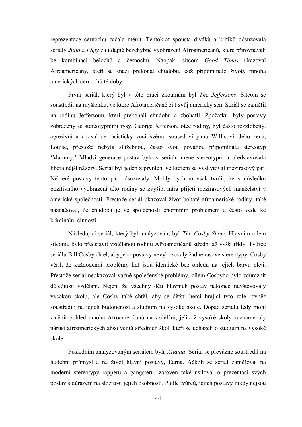reprezentace černochů začala měnit. Tentokrát spousta diváků a kritiků odsuzovala seriály *Julia* a *I Spy* za údajně bezchybné vyobrazení Afroameričanů, které přirovnávali ke kombinaci bělochů a černochů. Naopak, sitcom *Good Times* ukazoval Afroameričany, kteří se snaží překonat chudobu, což připomínalo životy mnoha amerických černochů té doby.

První seriál, který byl v této práci zkoumám byl *The Jeffersons*. Sitcom se soustředil na myšlenku, ve které Afroameričané žijí svůj americký sen. Seriál se zaměřil na rodinu Jeffersonů, kteří překonali chudobu a zbohatli. Zpočátku, byly postavy zobrazeny se stereotypními rysy. George Jefferson, otec rodiny, byl často rozzlobený, agresivní a choval se rasisticky vůči svému sousedovi panu Willisovi. Jeho žena, Louise, přestože nebyla služebnou, často svou povahou připomínala stereotyp 'Mammy.' Mladší generace postav byla v seriálu méně stereotypní a představovala liberálnější názory. Seriál byl jeden z prvních, ve kterém se vyskytoval mezirasový pár. Některé postavy tento pár odsuzovaly. Mohly bychom však tvrdit, že v důsledku pozitivního vyobrazení této rodiny se zvýšila míra přijetí mezirasových manželství v americké společnosti. Přestože seriál ukazoval život bohaté afroamerické rodiny, také naznačoval, že chudoba je ve společnosti enormním problémem a často vede ke kriminální činnosti.

Následující seriál, který byl analyzován, byl *The Cosby Show*. Hlavním cílem sitcomu bylo představit vzdělanou rodinu Afroameričanů střední až vyšší třídy. Tvůrce seriálu Bill Cosby chtěl, aby jeho postavy nevykazovaly žádné rasové stereotypy. Cosby věřil, že každodenní problémy lidí jsou identické bez ohledu na jejich barvu pleti. Přestože seriál neukazoval vážné společenské problémy, cílem Cosbyho bylo zdůraznit důležitost vzdělání. Nejen, že všechny děti hlavních postav nakonec navštěvovaly vysokou školu, ale Cosby také chtěl, aby se dětští herci hrající tyto role rovněž soustředili na jejich budoucnost a studium na vysoké škole. Dopad seriálu tedy mohl změnit pohled mnoha Afroameričanů na vzdělání, jelikož vysoké školy zaznamenaly nárůst afroamerických absolventů středních škol, kteří se ucházeli o studium na vysoké škole.

Posledním analyzovaným seriálem byla *Atlanta*. Seriál se převážně soustředil na hudební průmysl a na život hlavní postavy, Earna. Ačkoli se seriál zaměřoval na moderní stereotypy rapperů a gangsterů, zároveň také usiloval o prezentaci svých postav s důrazem na složitost jejich osobností. Podle tvůrců, jejich postavy nikdy nejsou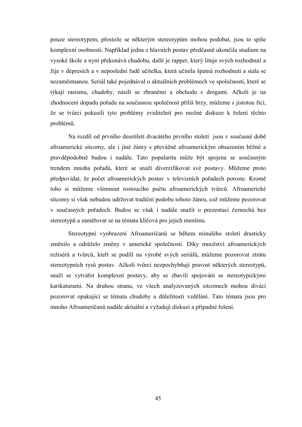pouze stereotypem, přestože se některým stereotypům mohou podobat, jsou to spíše komplexní osobnosti. Například jedna z hlavních postav předčasně ukončila studium na vysoké škole a nyní překonává chudobu, další je rapper, který lituje svých rozhodnutí a žije v depresích a v neposlední řadě učitelka, která učinila špatná rozhodnutí a stala se nezaměstnanou. Seriál také pojednával o aktuálních problémech ve společnosti, které se týkají rasismu, chudoby, násilí se zbraněmi a obchodu s drogami. Ačkoli je na zhodnocení dopadu pořadu na současnou společnost příliš brzy, můžeme s jistotou říci, že se tvůrci pokusili tyto problémy zviditelnit pro možné diskuze k řešení těchto problémů.

Na rozdíl od prvního desetiletí dvacátého prvního století jsou v současné době afroamerické sitcomy, ale i jiné žánry s převážně afroamerickým obsazením běžné a pravděpodobně budou i nadále. Tato popularita může být spojena se současným trendem mnoha pořadů, které se snaží diverzifikovat své postavy. Můžeme proto předpovídat, že počet afroamerických postav v televizních pořadech poroste. Kromě toho si můžeme všimnout rostoucího počtu afroamerických tvůrců. Afroamerické sitcomy si však nebudou udržovat tradiční podobu tohoto žánru, což můžeme pozorovat v současných pořadech. Budou se však i nadále snažit o prezentaci černochů bez stereotypů a zaměřovat se na témata klíčová pro jejich menšinu.

Stereotypní vyobrazení Afroameričanů se během minulého století drasticky změnilo a odráželo změny v americké společnosti. Díky množství afroamerických režisérů a tvůrců, kteří se podílí na výrobě svých seriálů, můžeme pozorovat ztrátu stereotypních rysů postav. Ačkoli tvůrci nezpochybňují pravost některých stereotypů, snaží se vytvářet komplexní postavy, aby se zbavili spojování se stereotypickými karikaturami. Na druhou stranu, ve všech analyzovaných sitcomech mohou diváci pozorovat opakující se témata chudoby a důležitosti vzdělání. Tato témata jsou pro mnoho Afroameričanů nadále aktuální a vyžadují diskuzi a případné řešení.

45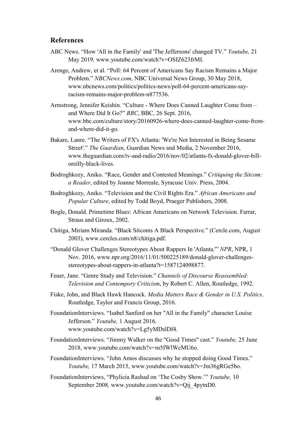#### <span id="page-45-0"></span>References

- ABC News. "How 'All in the Family' and 'The Jeffersons' changed TV." *Youtube,* 21 May 2019*,* www.youtube.com/watch?v=OSIZ623frMI.
- Arenge, Andrew, et al. "Poll: 64 Percent of Americans Say Racism Remains a Major Problem." *NBCNews.com*, NBC Universal News Group, 30 May 2018, www.nbcnews.com/politics/politics-news/poll-64-percent-americans-sayracism-remains-major-problem-n877536.
- Armstrong, Jennifer Keishin. "Culture Where Does Canned Laughter Come from and Where Did It Go?" *BBC*, BBC, 26 Sept. 2016, www.bbc.com/culture/story/20160926-where-does-canned-laughter-come-fromand-where-did-it-go.
- Bakare, Lanre. "The Writers of FX's Atlanta: 'We're Not Interested in Being Sesame Street'." *The Guardian*, Guardian News and Media, 2 November 2016, www.theguardian.com/tv-and-radio/2016/nov/02/atlanta-fx-donald-glover-billoreilly-black-lives.
- Bodroghkozy, Aniko. "Race, Gender and Contested Meanings." *Critiquing the Sitcom: a Reader*, edited by Joanne Morreale, Syracuse Univ. Press, 2004.
- Bodroghkozy, Aniko. "Television and the Civil Rights Era." *African Americans and Popular Culture*, edited by Todd Boyd, Praeger Publishers, 2008.
- Bogle, Donald. Primetime Blues: African Americans on Network Television. Farrar, Straus and Giroux, 2002.
- Chitiga, Miriam Miranda. "Black Sitcoms A Black Perspective." (Cercle.com, August 2003), www.cercles.com/n8/chitiga.pdf.
- "Donald Glover Challenges Stereotypes About Rappers In 'Atlanta.'" *NPR*, NPR, 1 Nov. 2016, www.npr.org/2016/11/01/500225189/donald-glover-challengesstereotypes-about-rappers-in-atlanta?t=1587124098877.
- Feuer, Jane. "Genre Study and Television." *Channels of Discourse Reassembled: Television and Contempory Criticism*, by Robert C. Allen, Routledge, 1992.
- Fiske, John, and Black Hawk Hancock. *Media Matters Race & Gender in U.S. Politics*. Routledge, Taylor and Francis Group, 2016.
- FoundationInterviews. "Isabel Sanford on her "All in the Family" character Louise Jefferson." *Youtube,* 1 August 2016*,*  www.youtube.com/watch?v=Lg5yMDslDf4.
- FoundationInterviews. "Jimmy Walker on the "Good Times" cast." *Youtube,* 25 June 2018, www.youtube.com/watch?v=m5fWlWcMU6o.
- FoundationInterviews. "John Amos discusses why he stopped doing Good Times." *Youtube,* 17 March 2015, www.youtube.com/watch?v=Jm36gRGe5bo.
- FoundationInterviews, "Phylicia Rashad on 'The Cosby Show.'" *Youtube,* 10 September 2008*,* www.youtube.com/watch?v=Qij\_4pytnD0.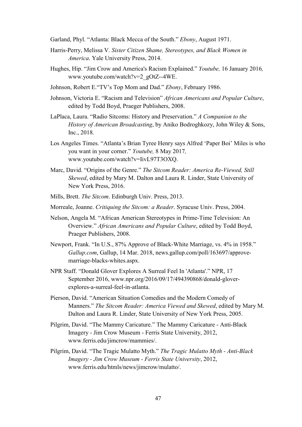Garland, Phyl. "Atlanta: Black Mecca of the South." *Ebony*, August 1971.

- Harris-Perry, Melissa V. *Sister Citizen Shame, Stereotypes, and Black Women in America*. Yale University Press, 2014.
- Hughes, Hip. "Jim Crow and America's Racism Explained." *Youtube,* 16 January 2016*,*  www.youtube.com/watch?v=2\_gOtZ--4WE.
- Johnson, Robert E."TV's Top Mom and Dad." *Ebony*, February 1986.
- Johnson, Victoria E. "Racism and Television" *African Americans and Popular Culture*, edited by Todd Boyd, Praeger Publishers, 2008.
- LaPlaca, Laura. "Radio Sitcoms: History and Preservation." *A Companion to the History of American Broadcasting*, by Aniko Bodroghkozy, John Wiley & Sons, Inc., 2018.
- Los Angeles Times. "Atlanta's Brian Tyree Henry says Alfred 'Paper Boi' Miles is who you want in your corner." *Youtube,* 8 May 2017*,*  www.youtube.com/watch?v=IivL97T3OXQ.
- Marc, David. "Origins of the Genre." *The Sitcom Reader: America Re-Viewed, Still Skewed*, edited by Mary M. Dalton and Laura R. Linder, State University of New York Press, 2016.
- Mills, Brett. *The Sitcom*. Edinburgh Univ. Press, 2013.
- Morreale, Joanne. *Critiquing the Sitcom: a Reader*. Syracuse Univ. Press, 2004.
- Nelson, Angela M. "African American Stereotypes in Prime-Time Television: An Overview." *African Americans and Popular Culture*, edited by Todd Boyd, Praeger Publishers, 2008.
- Newport, Frank. "In U.S., 87% Approve of Black-White Marriage, vs. 4% in 1958." *Gallup.com*, Gallup, 14 Mar. 2018, news.gallup.com/poll/163697/approvemarriage-blacks-whites.aspx.
- NPR Staff. "Donald Glover Explores A Surreal Feel In 'Atlanta'." NPR, 17 September 2016, www.npr.org/2016/09/17/494390868/donald-gloverexplores-a-surreal-feel-in-atlanta.
- Pierson, David. "American Situation Comedies and the Modern Comedy of Manners." *The Sitcom Reader: America Viewed and Skewed*, edited by Mary M. Dalton and Laura R. Linder, State University of New York Press, 2005.
- Pilgrim, David. "The Mammy Caricature." The Mammy Caricature Anti-Black Imagery - Jim Crow Museum - Ferris State University, 2012, www.ferris.edu/jimcrow/mammies/.
- Pilgrim, David. "The Tragic Mulatto Myth." *The Tragic Mulatto Myth - Anti-Black Imagery - Jim Crow Museum - Ferris State University*, 2012, www.ferris.edu/htmls/news/jimcrow/mulatto/.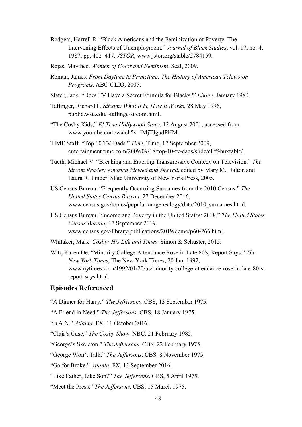- Rodgers, Harrell R. "Black Americans and the Feminization of Poverty: The Intervening Effects of Unemployment." *Journal of Black Studies*, vol. 17, no. 4, 1987, pp. 402–417. *JSTOR*, www.jstor.org/stable/2784159.
- Rojas, Maythee. *Women of Color and Feminism*. Seal, 2009.
- Roman, James. *From Daytime to Primetime: The History of American Television Programs*. ABC-CLIO, 2005.
- Slater, Jack. "Does TV Have a Secret Formula for Blacks?" *Ebony*, January 1980.
- Taflinger, Richard F. *Sitcom: What It Is, How It Works*, 28 May 1996, public.wsu.edu/~taflinge/sitcom.html.
- "The Cosby Kids," *E! True Hollywood Story*. 12 August 2001, accessed from www.youtube.com/watch?v=IMjTJgudPHM.
- TIME Staff. "Top 10 TV Dads." *Time*, Time, 17 September 2009, entertainment.time.com/2009/09/18/top-10-tv-dads/slide/cliff-huxtable/.
- Tueth, Michael V. "Breaking and Entering Transgressive Comedy on Television." *The Sitcom Reader: America Viewed and Skewed*, edited by Mary M. Dalton and Laura R. Linder, State University of New York Press, 2005.
- US Census Bureau. "Frequently Occurring Surnames from the 2010 Census." *The United States Census Bureau*. 27 December 2016, www.census.gov/topics/population/genealogy/data/2010\_surnames.html.
- US Census Bureau. "Income and Poverty in the United States: 2018." *The United States Census Bureau*, 17 September 2019, www.census.gov/library/publications/2019/demo/p60-266.html.
- Whitaker, Mark. *Cosby: His Life and Times*. Simon & Schuster, 2015.
- Witt, Karen De. "Minority College Attendance Rose in Late 80's, Report Says." *The New York Times*, The New York Times, 20 Jan. 1992, www.nytimes.com/1992/01/20/us/minority-college-attendance-rose-in-late-80-sreport-says.html.

#### Episodes Referenced

- "A Dinner for Harry." *The Jeffersons*. CBS, 13 September 1975.
- "A Friend in Need." *The Jeffersons*. CBS, 18 January 1975.
- "B.A.N." *Atlanta*. FX, 11 October 2016.
- "Clair's Case." *The Cosby Show*. NBC, 21 February 1985.
- "George's Skeleton." *The Jeffersons*. CBS, 22 February 1975.
- "George Won't Talk." *The Jeffersons*. CBS, 8 November 1975.
- "Go for Broke." *Atlanta*. FX, 13 September 2016.
- "Like Father, Like Son?" *The Jeffersons*. CBS, 5 April 1975.
- "Meet the Press." *The Jeffersons*. CBS, 15 March 1975.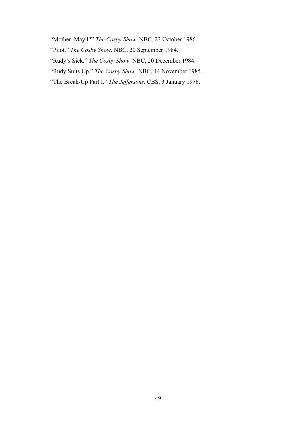"Mother, May I?" *The Cosby Show*. NBC, 23 October 1986.

"Pilot." *The Cosby Show*. NBC, 20 September 1984.

"Rudy's Sick." *The Cosby Show*. NBC, 20 December 1984.

"Rudy Suits Up." *The Cosby Show*. NBC, 14 November 1985.

"The Break-Up Part I." *The Jeffersons*. CBS, 3 January 1976.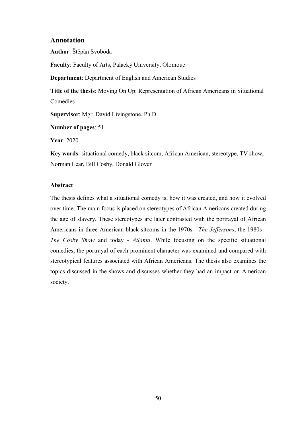#### <span id="page-49-0"></span>Annotation

Author: Štěpán Svoboda

Faculty: Faculty of Arts, Palacký University, Olomouc

Department: Department of English and American Studies

Title of the thesis: Moving On Up: Representation of African Americans in Situational **Comedies** 

Supervisor: Mgr. David Livingstone, Ph.D.

Number of pages: 51

Year: 2020

Key words: situational comedy, black sitcom, African American, stereotype, TV show, Norman Lear, Bill Cosby, Donald Glover

#### Abstract

The thesis defines what a situational comedy is, how it was created, and how it evolved over time. The main focus is placed on stereotypes of African Americans created during the age of slavery. These stereotypes are later contrasted with the portrayal of African Americans in three American black sitcoms in the 1970s - *The Jeffersons*, the 1980s - *The Cosby Show* and today - *Atlanta*. While focusing on the specific situational comedies, the portrayal of each prominent character was examined and compared with stereotypical features associated with African Americans. The thesis also examines the topics discussed in the shows and discusses whether they had an impact on American society.